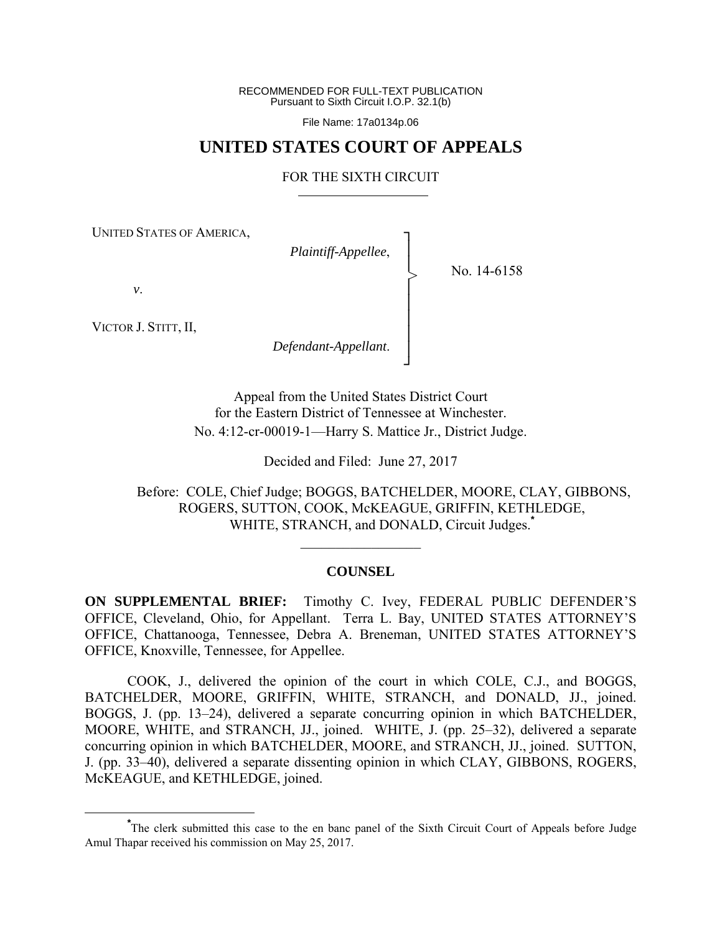RECOMMENDED FOR FULL-TEXT PUBLICATION Pursuant to Sixth Circuit I.O.P. 32.1(b)

File Name: 17a0134p.06

## **UNITED STATES COURT OF APPEALS**

### FOR THE SIXTH CIRCUIT

┐ │ │ │ │ │ │ │ ┘

>

UNITED STATES OF AMERICA,

*Plaintiff-Appellee*,

No. 14-6158

*v*.

VICTOR J. STITT, II,

*Defendant-Appellant*.

Appeal from the United States District Court for the Eastern District of Tennessee at Winchester. No. 4:12-cr-00019-1—Harry S. Mattice Jr., District Judge.

Decided and Filed: June 27, 2017

 Before: COLE, Chief Judge; BOGGS, BATCHELDER, MOORE, CLAY, GIBBONS, ROGERS, SUTTON, COOK, McKEAGUE, GRIFFIN, KETHLEDGE, WHITE, STRANCH, and DONALD, Circuit Judges.**\***

## **COUNSEL**

 $\mathcal{L}_\text{max}$ 

**ON SUPPLEMENTAL BRIEF:** Timothy C. Ivey, FEDERAL PUBLIC DEFENDER'S OFFICE, Cleveland, Ohio, for Appellant. Terra L. Bay, UNITED STATES ATTORNEY'S OFFICE, Chattanooga, Tennessee, Debra A. Breneman, UNITED STATES ATTORNEY'S OFFICE, Knoxville, Tennessee, for Appellee.

 COOK, J., delivered the opinion of the court in which COLE, C.J., and BOGGS, BATCHELDER, MOORE, GRIFFIN, WHITE, STRANCH, and DONALD, JJ., joined. BOGGS, J. (pp. 13–24), delivered a separate concurring opinion in which BATCHELDER, MOORE, WHITE, and STRANCH, JJ., joined. WHITE, J. (pp. 25–32), delivered a separate concurring opinion in which BATCHELDER, MOORE, and STRANCH, JJ., joined. SUTTON, J. (pp. 33–40), delivered a separate dissenting opinion in which CLAY, GIBBONS, ROGERS, McKEAGUE, and KETHLEDGE, joined.

**\*** The clerk submitted this case to the en banc panel of the Sixth Circuit Court of Appeals before Judge Amul Thapar received his commission on May 25, 2017.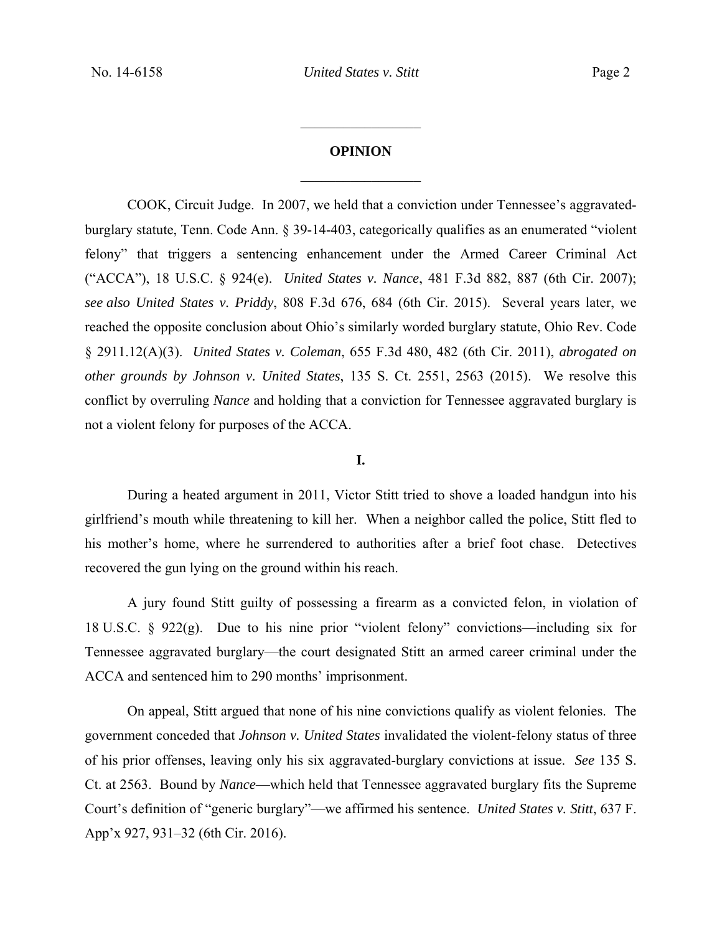# **OPINION**   $\frac{1}{2}$

 $\frac{1}{2}$ 

COOK, Circuit Judge. In 2007, we held that a conviction under Tennessee's aggravatedburglary statute, Tenn. Code Ann. § 39-14-403, categorically qualifies as an enumerated "violent felony" that triggers a sentencing enhancement under the Armed Career Criminal Act ("ACCA"), 18 U.S.C. § 924(e). *United States v. Nance*, 481 F.3d 882, 887 (6th Cir. 2007); *see also United States v. Priddy*, 808 F.3d 676, 684 (6th Cir. 2015). Several years later, we reached the opposite conclusion about Ohio's similarly worded burglary statute, Ohio Rev. Code § 2911.12(A)(3). *United States v. Coleman*, 655 F.3d 480, 482 (6th Cir. 2011), *abrogated on other grounds by Johnson v. United States*, 135 S. Ct. 2551, 2563 (2015). We resolve this conflict by overruling *Nance* and holding that a conviction for Tennessee aggravated burglary is not a violent felony for purposes of the ACCA.

### **I.**

 During a heated argument in 2011, Victor Stitt tried to shove a loaded handgun into his girlfriend's mouth while threatening to kill her. When a neighbor called the police, Stitt fled to his mother's home, where he surrendered to authorities after a brief foot chase. Detectives recovered the gun lying on the ground within his reach.

 A jury found Stitt guilty of possessing a firearm as a convicted felon, in violation of 18 U.S.C. § 922(g). Due to his nine prior "violent felony" convictions—including six for Tennessee aggravated burglary—the court designated Stitt an armed career criminal under the ACCA and sentenced him to 290 months' imprisonment.

On appeal, Stitt argued that none of his nine convictions qualify as violent felonies. The government conceded that *Johnson v. United States* invalidated the violent-felony status of three of his prior offenses, leaving only his six aggravated-burglary convictions at issue. *See* 135 S. Ct. at 2563. Bound by *Nance*—which held that Tennessee aggravated burglary fits the Supreme Court's definition of "generic burglary"—we affirmed his sentence. *United States v. Stitt*, 637 F. App'x 927, 931–32 (6th Cir. 2016).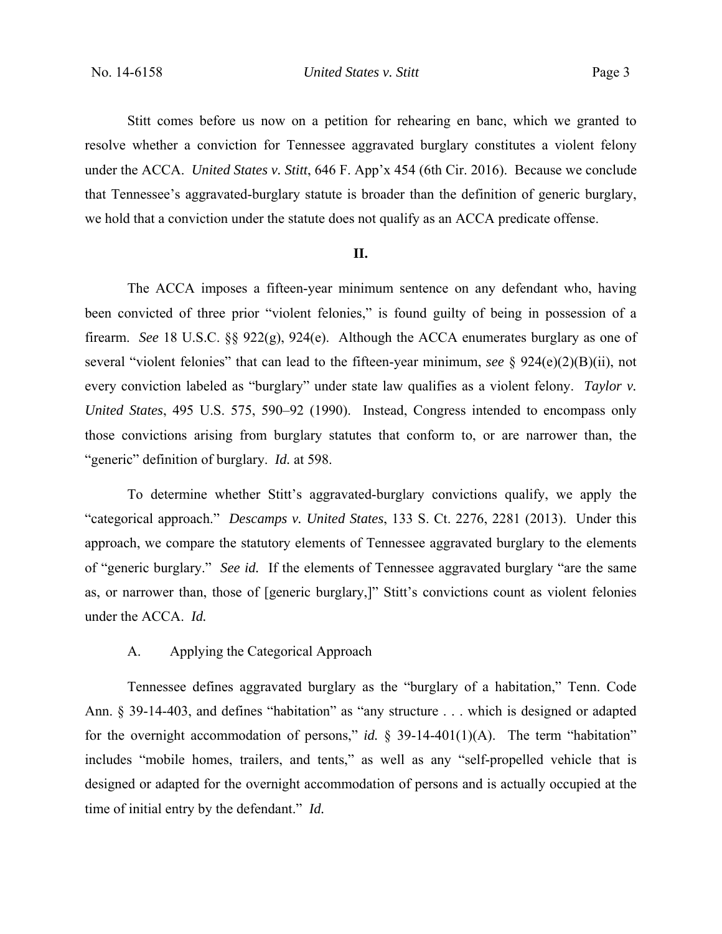Stitt comes before us now on a petition for rehearing en banc, which we granted to resolve whether a conviction for Tennessee aggravated burglary constitutes a violent felony under the ACCA. *United States v. Stitt*, 646 F. App'x 454 (6th Cir. 2016). Because we conclude that Tennessee's aggravated-burglary statute is broader than the definition of generic burglary, we hold that a conviction under the statute does not qualify as an ACCA predicate offense.

## **II.**

 The ACCA imposes a fifteen-year minimum sentence on any defendant who, having been convicted of three prior "violent felonies," is found guilty of being in possession of a firearm. *See* 18 U.S.C. §§ 922(g), 924(e). Although the ACCA enumerates burglary as one of several "violent felonies" that can lead to the fifteen-year minimum, *see* § 924(e)(2)(B)(ii), not every conviction labeled as "burglary" under state law qualifies as a violent felony. *Taylor v. United States*, 495 U.S. 575, 590–92 (1990). Instead, Congress intended to encompass only those convictions arising from burglary statutes that conform to, or are narrower than, the "generic" definition of burglary. *Id.* at 598.

To determine whether Stitt's aggravated-burglary convictions qualify, we apply the "categorical approach." *Descamps v. United States*, 133 S. Ct. 2276, 2281 (2013). Under this approach, we compare the statutory elements of Tennessee aggravated burglary to the elements of "generic burglary." *See id.* If the elements of Tennessee aggravated burglary "are the same as, or narrower than, those of [generic burglary,]" Stitt's convictions count as violent felonies under the ACCA. *Id.*

## A. Applying the Categorical Approach

Tennessee defines aggravated burglary as the "burglary of a habitation," Tenn. Code Ann. § 39-14-403, and defines "habitation" as "any structure . . . which is designed or adapted for the overnight accommodation of persons," *id.* § 39-14-401(1)(A). The term "habitation" includes "mobile homes, trailers, and tents," as well as any "self-propelled vehicle that is designed or adapted for the overnight accommodation of persons and is actually occupied at the time of initial entry by the defendant." *Id.*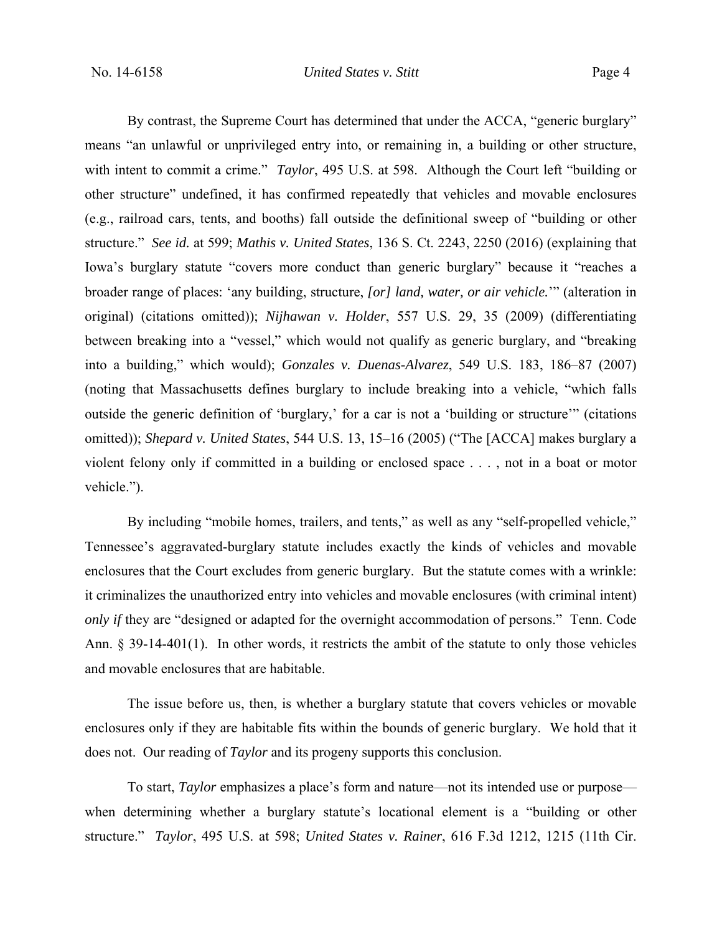By contrast, the Supreme Court has determined that under the ACCA, "generic burglary" means "an unlawful or unprivileged entry into, or remaining in, a building or other structure, with intent to commit a crime." *Taylor*, 495 U.S. at 598. Although the Court left "building or other structure" undefined, it has confirmed repeatedly that vehicles and movable enclosures (e.g., railroad cars, tents, and booths) fall outside the definitional sweep of "building or other structure." *See id.* at 599; *Mathis v. United States*, 136 S. Ct. 2243, 2250 (2016) (explaining that Iowa's burglary statute "covers more conduct than generic burglary" because it "reaches a broader range of places: 'any building, structure, *[or] land, water, or air vehicle.*'" (alteration in original) (citations omitted)); *Nijhawan v. Holder*, 557 U.S. 29, 35 (2009) (differentiating between breaking into a "vessel," which would not qualify as generic burglary, and "breaking into a building," which would); *Gonzales v. Duenas-Alvarez*, 549 U.S. 183, 186–87 (2007) (noting that Massachusetts defines burglary to include breaking into a vehicle, "which falls outside the generic definition of 'burglary,' for a car is not a 'building or structure'" (citations omitted)); *Shepard v. United States*, 544 U.S. 13, 15–16 (2005) ("The [ACCA] makes burglary a violent felony only if committed in a building or enclosed space . . . , not in a boat or motor vehicle.").

By including "mobile homes, trailers, and tents," as well as any "self-propelled vehicle," Tennessee's aggravated-burglary statute includes exactly the kinds of vehicles and movable enclosures that the Court excludes from generic burglary. But the statute comes with a wrinkle: it criminalizes the unauthorized entry into vehicles and movable enclosures (with criminal intent) *only if* they are "designed or adapted for the overnight accommodation of persons." Tenn. Code Ann. § 39-14-401(1). In other words, it restricts the ambit of the statute to only those vehicles and movable enclosures that are habitable.

The issue before us, then, is whether a burglary statute that covers vehicles or movable enclosures only if they are habitable fits within the bounds of generic burglary. We hold that it does not. Our reading of *Taylor* and its progeny supports this conclusion.

To start, *Taylor* emphasizes a place's form and nature—not its intended use or purpose when determining whether a burglary statute's locational element is a "building or other structure." *Taylor*, 495 U.S. at 598; *United States v. Rainer*, 616 F.3d 1212, 1215 (11th Cir.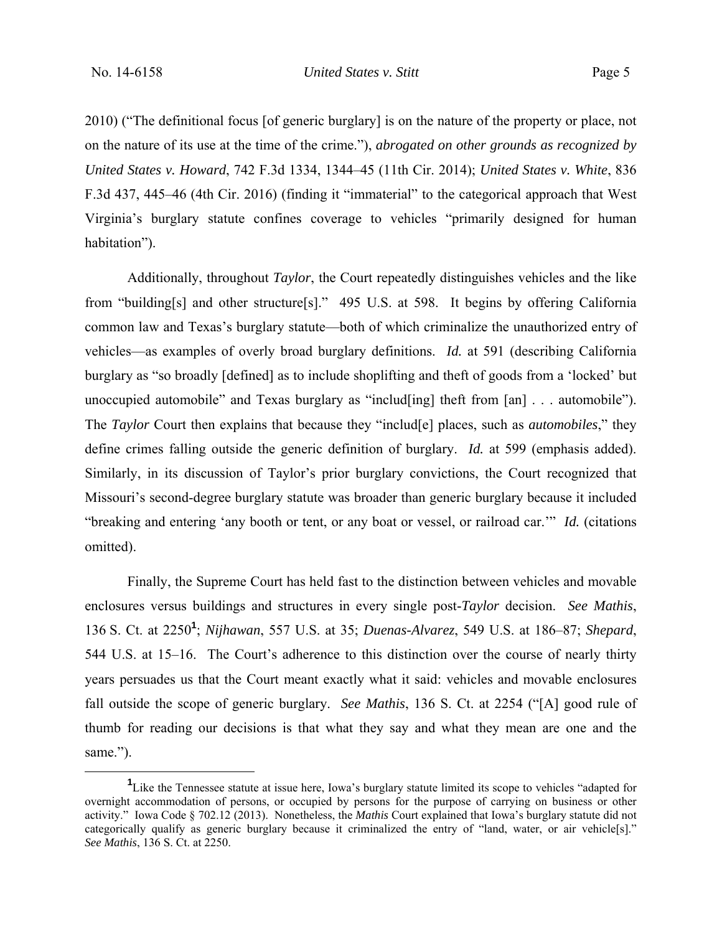2010) ("The definitional focus [of generic burglary] is on the nature of the property or place, not on the nature of its use at the time of the crime."), *abrogated on other grounds as recognized by United States v. Howard*, 742 F.3d 1334, 1344–45 (11th Cir. 2014); *United States v. White*, 836 F.3d 437, 445–46 (4th Cir. 2016) (finding it "immaterial" to the categorical approach that West Virginia's burglary statute confines coverage to vehicles "primarily designed for human habitation").

Additionally, throughout *Taylor*, the Court repeatedly distinguishes vehicles and the like from "building[s] and other structure[s]." 495 U.S. at 598. It begins by offering California common law and Texas's burglary statute—both of which criminalize the unauthorized entry of vehicles—as examples of overly broad burglary definitions. *Id.* at 591 (describing California burglary as "so broadly [defined] as to include shoplifting and theft of goods from a 'locked' but unoccupied automobile" and Texas burglary as "includ[ing] theft from [an] . . . automobile"). The *Taylor* Court then explains that because they "includ[e] places, such as *automobiles*," they define crimes falling outside the generic definition of burglary. *Id.* at 599 (emphasis added). Similarly, in its discussion of Taylor's prior burglary convictions, the Court recognized that Missouri's second-degree burglary statute was broader than generic burglary because it included "breaking and entering 'any booth or tent, or any boat or vessel, or railroad car.'" *Id.* (citations omitted).

Finally, the Supreme Court has held fast to the distinction between vehicles and movable enclosures versus buildings and structures in every single post-*Taylor* decision. *See Mathis*, 136 S. Ct. at 2250**<sup>1</sup>** ; *Nijhawan*, 557 U.S. at 35; *Duenas-Alvarez*, 549 U.S. at 186–87; *Shepard*, 544 U.S. at 15–16. The Court's adherence to this distinction over the course of nearly thirty years persuades us that the Court meant exactly what it said: vehicles and movable enclosures fall outside the scope of generic burglary. *See Mathis*, 136 S. Ct. at 2254 ("[A] good rule of thumb for reading our decisions is that what they say and what they mean are one and the same.").

 $\frac{1}{1}$ <sup>1</sup> Like the Tennessee statute at issue here, Iowa's burglary statute limited its scope to vehicles "adapted for overnight accommodation of persons, or occupied by persons for the purpose of carrying on business or other activity." Iowa Code § 702.12 (2013). Nonetheless, the *Mathis* Court explained that Iowa's burglary statute did not categorically qualify as generic burglary because it criminalized the entry of "land, water, or air vehicle[s]." *See Mathis*, 136 S. Ct. at 2250.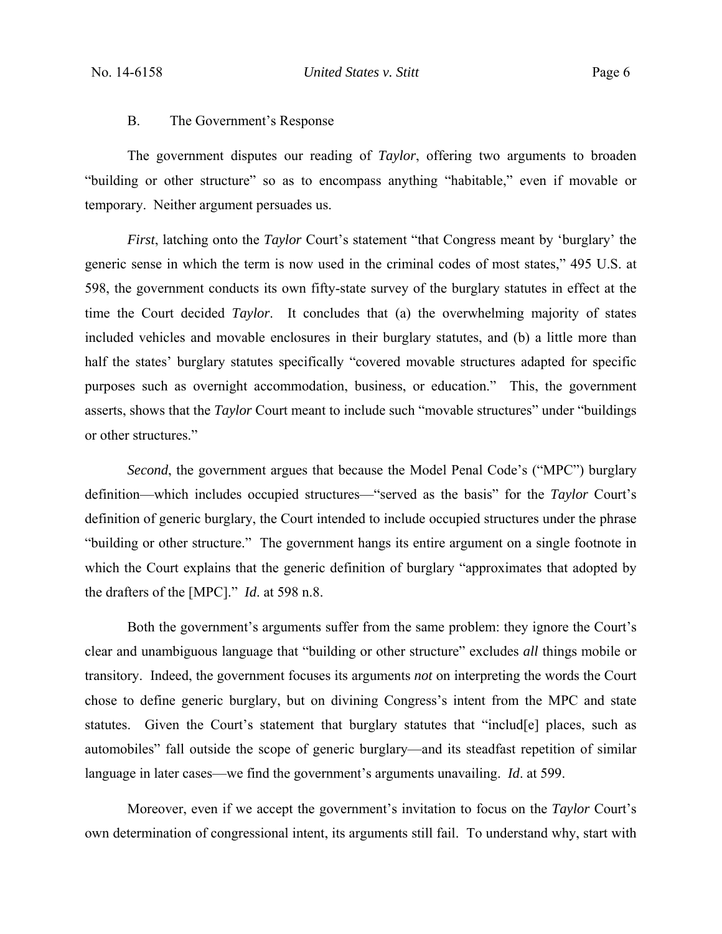#### B. The Government's Response

The government disputes our reading of *Taylor*, offering two arguments to broaden "building or other structure" so as to encompass anything "habitable," even if movable or temporary. Neither argument persuades us.

*First*, latching onto the *Taylor* Court's statement "that Congress meant by 'burglary' the generic sense in which the term is now used in the criminal codes of most states," 495 U.S. at 598, the government conducts its own fifty-state survey of the burglary statutes in effect at the time the Court decided *Taylor*. It concludes that (a) the overwhelming majority of states included vehicles and movable enclosures in their burglary statutes, and (b) a little more than half the states' burglary statutes specifically "covered movable structures adapted for specific purposes such as overnight accommodation, business, or education." This, the government asserts, shows that the *Taylor* Court meant to include such "movable structures" under "buildings or other structures."

*Second*, the government argues that because the Model Penal Code's ("MPC") burglary definition—which includes occupied structures—"served as the basis" for the *Taylor* Court's definition of generic burglary, the Court intended to include occupied structures under the phrase "building or other structure." The government hangs its entire argument on a single footnote in which the Court explains that the generic definition of burglary "approximates that adopted by the drafters of the [MPC]." *Id*. at 598 n.8.

Both the government's arguments suffer from the same problem: they ignore the Court's clear and unambiguous language that "building or other structure" excludes *all* things mobile or transitory. Indeed, the government focuses its arguments *not* on interpreting the words the Court chose to define generic burglary, but on divining Congress's intent from the MPC and state statutes. Given the Court's statement that burglary statutes that "includ[e] places, such as automobiles" fall outside the scope of generic burglary—and its steadfast repetition of similar language in later cases—we find the government's arguments unavailing. *Id*. at 599.

Moreover, even if we accept the government's invitation to focus on the *Taylor* Court's own determination of congressional intent, its arguments still fail. To understand why, start with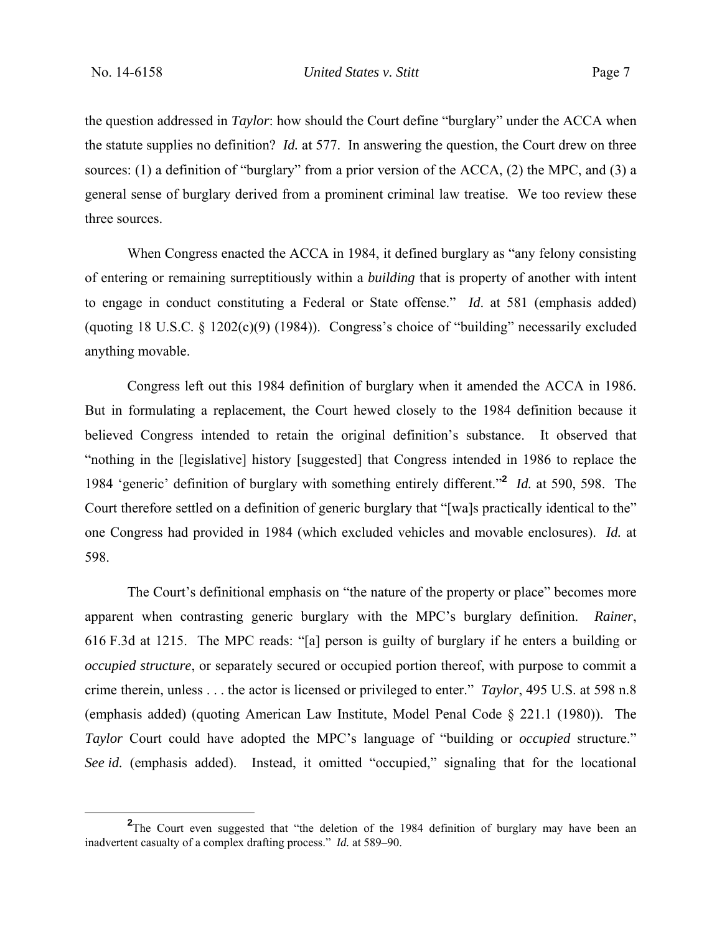the question addressed in *Taylor*: how should the Court define "burglary" under the ACCA when the statute supplies no definition? *Id.* at 577. In answering the question, the Court drew on three sources: (1) a definition of "burglary" from a prior version of the ACCA, (2) the MPC, and (3) a general sense of burglary derived from a prominent criminal law treatise. We too review these three sources.

When Congress enacted the ACCA in 1984, it defined burglary as "any felony consisting of entering or remaining surreptitiously within a *building* that is property of another with intent to engage in conduct constituting a Federal or State offense." *Id*. at 581 (emphasis added) (quoting 18 U.S.C. § 1202(c)(9) (1984)). Congress's choice of "building" necessarily excluded anything movable.

Congress left out this 1984 definition of burglary when it amended the ACCA in 1986. But in formulating a replacement, the Court hewed closely to the 1984 definition because it believed Congress intended to retain the original definition's substance. It observed that "nothing in the [legislative] history [suggested] that Congress intended in 1986 to replace the 1984 'generic' definition of burglary with something entirely different."**<sup>2</sup>** *Id.* at 590, 598. The Court therefore settled on a definition of generic burglary that "[wa]s practically identical to the" one Congress had provided in 1984 (which excluded vehicles and movable enclosures). *Id.* at 598.

The Court's definitional emphasis on "the nature of the property or place" becomes more apparent when contrasting generic burglary with the MPC's burglary definition. *Rainer*, 616 F.3d at 1215. The MPC reads: "[a] person is guilty of burglary if he enters a building or *occupied structure*, or separately secured or occupied portion thereof, with purpose to commit a crime therein, unless . . . the actor is licensed or privileged to enter." *Taylor*, 495 U.S. at 598 n.8 (emphasis added) (quoting American Law Institute, Model Penal Code § 221.1 (1980)). The *Taylor* Court could have adopted the MPC's language of "building or *occupied* structure." *See id.* (emphasis added). Instead, it omitted "occupied," signaling that for the locational

**<sup>2</sup>** <sup>2</sup>The Court even suggested that "the deletion of the 1984 definition of burglary may have been an inadvertent casualty of a complex drafting process." *Id.* at 589–90.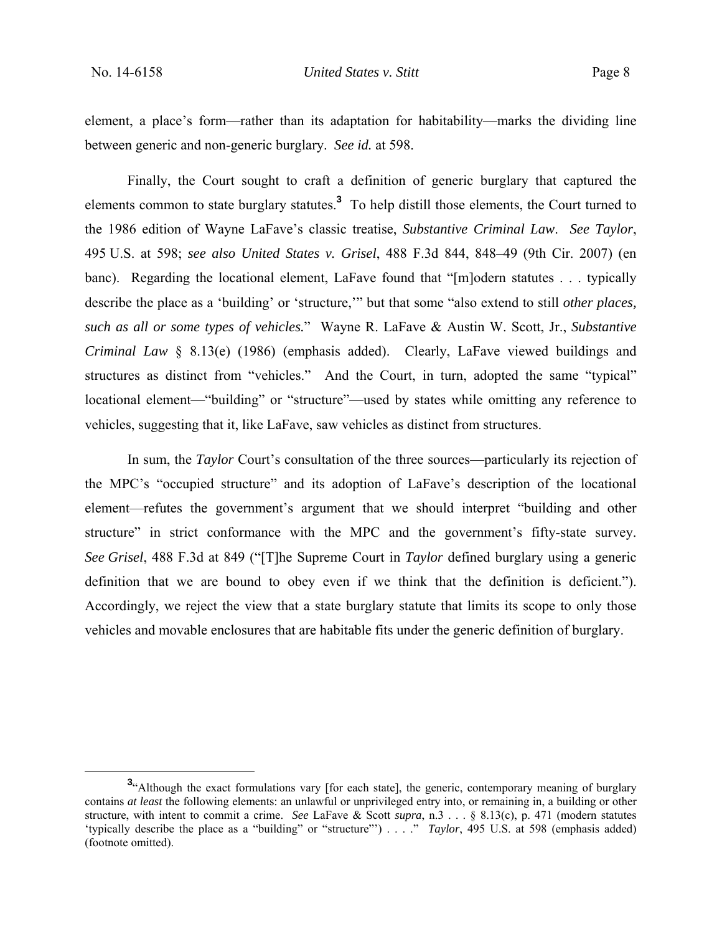element, a place's form—rather than its adaptation for habitability—marks the dividing line between generic and non-generic burglary. *See id.* at 598.

Finally, the Court sought to craft a definition of generic burglary that captured the elements common to state burglary statutes.**<sup>3</sup>** To help distill those elements, the Court turned to the 1986 edition of Wayne LaFave's classic treatise, *Substantive Criminal Law*. *See Taylor*, 495 U.S. at 598; *see also United States v. Grisel*, 488 F.3d 844, 848–49 (9th Cir. 2007) (en banc). Regarding the locational element, LaFave found that "[m]odern statutes . . . typically describe the place as a 'building' or 'structure,'" but that some "also extend to still *other places, such as all or some types of vehicles.*" Wayne R. LaFave & Austin W. Scott, Jr., *Substantive Criminal Law* § 8.13(e) (1986) (emphasis added). Clearly, LaFave viewed buildings and structures as distinct from "vehicles." And the Court, in turn, adopted the same "typical" locational element—"building" or "structure"—used by states while omitting any reference to vehicles, suggesting that it, like LaFave, saw vehicles as distinct from structures.

In sum, the *Taylor* Court's consultation of the three sources—particularly its rejection of the MPC's "occupied structure" and its adoption of LaFave's description of the locational element—refutes the government's argument that we should interpret "building and other structure" in strict conformance with the MPC and the government's fifty-state survey. *See Grisel*, 488 F.3d at 849 ("[T]he Supreme Court in *Taylor* defined burglary using a generic definition that we are bound to obey even if we think that the definition is deficient."). Accordingly, we reject the view that a state burglary statute that limits its scope to only those vehicles and movable enclosures that are habitable fits under the generic definition of burglary.

**<sup>3</sup>** <sup>3</sup>"Although the exact formulations vary [for each state], the generic, contemporary meaning of burglary contains *at least* the following elements: an unlawful or unprivileged entry into, or remaining in, a building or other structure, with intent to commit a crime. *See* LaFave & Scott *supra*, n.3 . . . § 8.13(c), p. 471 (modern statutes 'typically describe the place as a "building" or "structure"') . . . ." *Taylor*, 495 U.S. at 598 (emphasis added) (footnote omitted).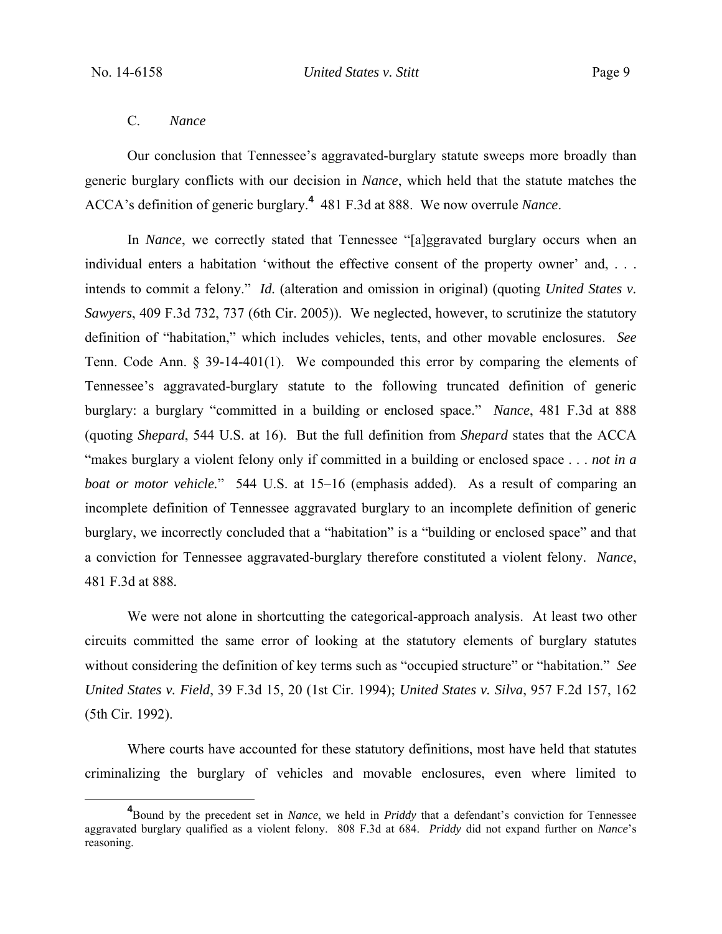## C. *Nance*

Our conclusion that Tennessee's aggravated-burglary statute sweeps more broadly than generic burglary conflicts with our decision in *Nance*, which held that the statute matches the ACCA's definition of generic burglary.**<sup>4</sup>** 481 F.3d at 888. We now overrule *Nance*.

In *Nance*, we correctly stated that Tennessee "[a]ggravated burglary occurs when an individual enters a habitation 'without the effective consent of the property owner' and, . . . intends to commit a felony." *Id.* (alteration and omission in original) (quoting *United States v. Sawyers*, 409 F.3d 732, 737 (6th Cir. 2005)). We neglected, however, to scrutinize the statutory definition of "habitation," which includes vehicles, tents, and other movable enclosures. *See* Tenn. Code Ann. § 39-14-401(1). We compounded this error by comparing the elements of Tennessee's aggravated-burglary statute to the following truncated definition of generic burglary: a burglary "committed in a building or enclosed space." *Nance*, 481 F.3d at 888 (quoting *Shepard*, 544 U.S. at 16). But the full definition from *Shepard* states that the ACCA "makes burglary a violent felony only if committed in a building or enclosed space . . . *not in a boat or motor vehicle.*" 544 U.S. at 15–16 (emphasis added). As a result of comparing an incomplete definition of Tennessee aggravated burglary to an incomplete definition of generic burglary, we incorrectly concluded that a "habitation" is a "building or enclosed space" and that a conviction for Tennessee aggravated-burglary therefore constituted a violent felony. *Nance*, 481 F.3d at 888*.*

We were not alone in shortcutting the categorical-approach analysis. At least two other circuits committed the same error of looking at the statutory elements of burglary statutes without considering the definition of key terms such as "occupied structure" or "habitation." *See United States v. Field*, 39 F.3d 15, 20 (1st Cir. 1994); *United States v. Silva*, 957 F.2d 157, 162 (5th Cir. 1992).

Where courts have accounted for these statutory definitions, most have held that statutes criminalizing the burglary of vehicles and movable enclosures, even where limited to

**<sup>4</sup>** Bound by the precedent set in *Nance*, we held in *Priddy* that a defendant's conviction for Tennessee aggravated burglary qualified as a violent felony. 808 F.3d at 684. *Priddy* did not expand further on *Nance*'s reasoning.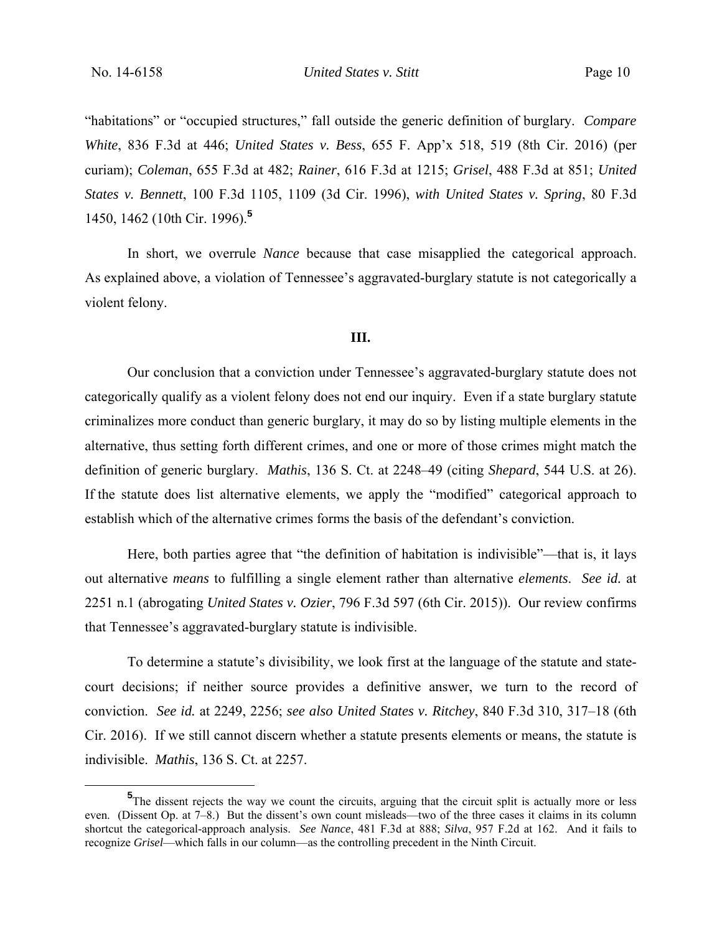No. 14-6158 *United States v. Stitt* Page 10

"habitations" or "occupied structures," fall outside the generic definition of burglary. *Compare White*, 836 F.3d at 446; *United States v. Bess*, 655 F. App'x 518, 519 (8th Cir. 2016) (per curiam); *Coleman*, 655 F.3d at 482; *Rainer*, 616 F.3d at 1215; *Grisel*, 488 F.3d at 851; *United States v. Bennett*, 100 F.3d 1105, 1109 (3d Cir. 1996), *with United States v. Spring*, 80 F.3d 1450, 1462 (10th Cir. 1996).**<sup>5</sup>**

In short, we overrule *Nance* because that case misapplied the categorical approach. As explained above, a violation of Tennessee's aggravated-burglary statute is not categorically a violent felony.

### **III.**

 Our conclusion that a conviction under Tennessee's aggravated-burglary statute does not categorically qualify as a violent felony does not end our inquiry. Even if a state burglary statute criminalizes more conduct than generic burglary, it may do so by listing multiple elements in the alternative, thus setting forth different crimes, and one or more of those crimes might match the definition of generic burglary. *Mathis*, 136 S. Ct. at 2248–49 (citing *Shepard*, 544 U.S. at 26). If the statute does list alternative elements, we apply the "modified" categorical approach to establish which of the alternative crimes forms the basis of the defendant's conviction.

Here, both parties agree that "the definition of habitation is indivisible"—that is, it lays out alternative *means* to fulfilling a single element rather than alternative *elements*. *See id.* at 2251 n.1 (abrogating *United States v. Ozier*, 796 F.3d 597 (6th Cir. 2015)). Our review confirms that Tennessee's aggravated-burglary statute is indivisible.

To determine a statute's divisibility, we look first at the language of the statute and statecourt decisions; if neither source provides a definitive answer, we turn to the record of conviction. *See id.* at 2249, 2256; *see also United States v. Ritchey*, 840 F.3d 310, 317–18 (6th Cir. 2016). If we still cannot discern whether a statute presents elements or means, the statute is indivisible. *Mathis*, 136 S. Ct. at 2257.

**<sup>5</sup>** <sup>5</sup>The dissent rejects the way we count the circuits, arguing that the circuit split is actually more or less even. (Dissent Op. at 7–8.) But the dissent's own count misleads—two of the three cases it claims in its column shortcut the categorical-approach analysis. *See Nance*, 481 F.3d at 888; *Silva*, 957 F.2d at 162. And it fails to recognize *Grisel*—which falls in our column—as the controlling precedent in the Ninth Circuit.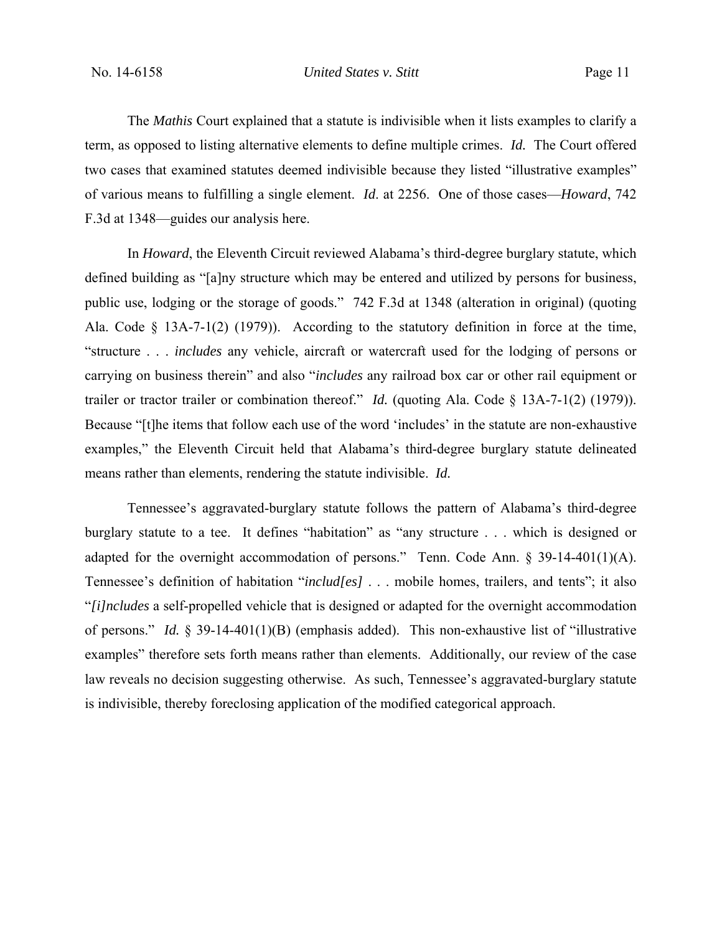The *Mathis* Court explained that a statute is indivisible when it lists examples to clarify a term, as opposed to listing alternative elements to define multiple crimes. *Id.* The Court offered two cases that examined statutes deemed indivisible because they listed "illustrative examples" of various means to fulfilling a single element. *Id*. at 2256. One of those cases—*Howard*, 742 F.3d at 1348—guides our analysis here.

In *Howard*, the Eleventh Circuit reviewed Alabama's third-degree burglary statute, which defined building as "[a]ny structure which may be entered and utilized by persons for business, public use, lodging or the storage of goods." 742 F.3d at 1348 (alteration in original) (quoting Ala. Code § 13A-7-1(2) (1979)). According to the statutory definition in force at the time, "structure . . . *includes* any vehicle, aircraft or watercraft used for the lodging of persons or carrying on business therein" and also "*includes* any railroad box car or other rail equipment or trailer or tractor trailer or combination thereof." *Id.* (quoting Ala. Code § 13A-7-1(2) (1979)). Because "[t]he items that follow each use of the word 'includes' in the statute are non-exhaustive examples," the Eleventh Circuit held that Alabama's third-degree burglary statute delineated means rather than elements, rendering the statute indivisible. *Id.*

Tennessee's aggravated-burglary statute follows the pattern of Alabama's third-degree burglary statute to a tee. It defines "habitation" as "any structure . . . which is designed or adapted for the overnight accommodation of persons." Tenn. Code Ann. § 39-14-401(1)(A). Tennessee's definition of habitation "*includ[es]* . . . mobile homes, trailers, and tents"; it also "*[i]ncludes* a self-propelled vehicle that is designed or adapted for the overnight accommodation of persons." *Id.* § 39-14-401(1)(B) (emphasis added). This non-exhaustive list of "illustrative examples" therefore sets forth means rather than elements. Additionally, our review of the case law reveals no decision suggesting otherwise. As such, Tennessee's aggravated-burglary statute is indivisible, thereby foreclosing application of the modified categorical approach.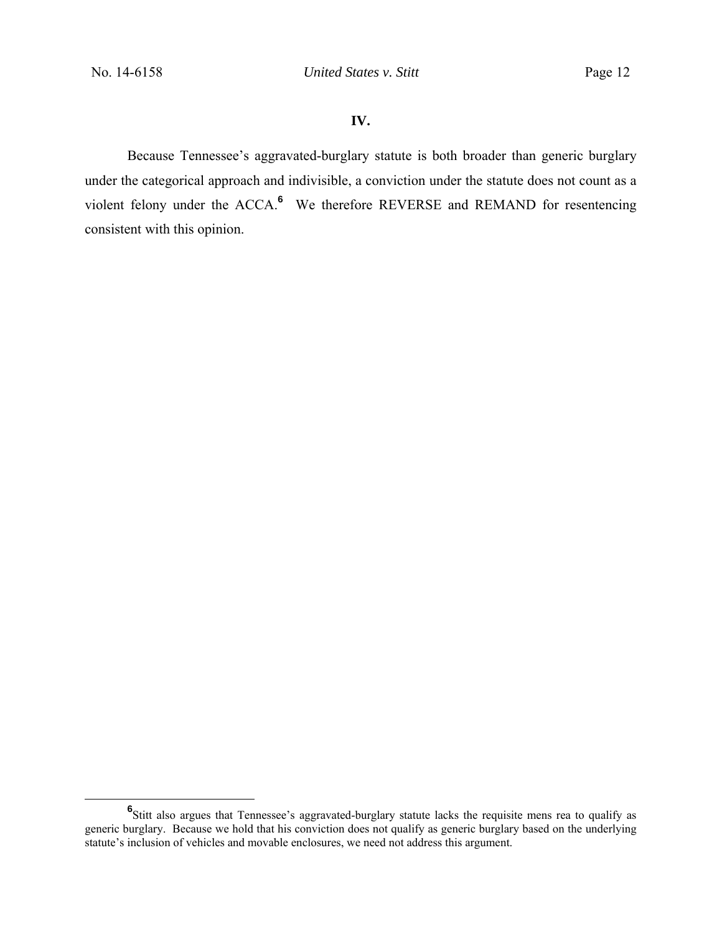## **IV.**

Because Tennessee's aggravated-burglary statute is both broader than generic burglary under the categorical approach and indivisible, a conviction under the statute does not count as a violent felony under the ACCA.**<sup>6</sup>** We therefore REVERSE and REMAND for resentencing consistent with this opinion.

**<sup>6</sup>** <sup>6</sup>Stitt also argues that Tennessee's aggravated-burglary statute lacks the requisite mens rea to qualify as generic burglary. Because we hold that his conviction does not qualify as generic burglary based on the underlying statute's inclusion of vehicles and movable enclosures, we need not address this argument.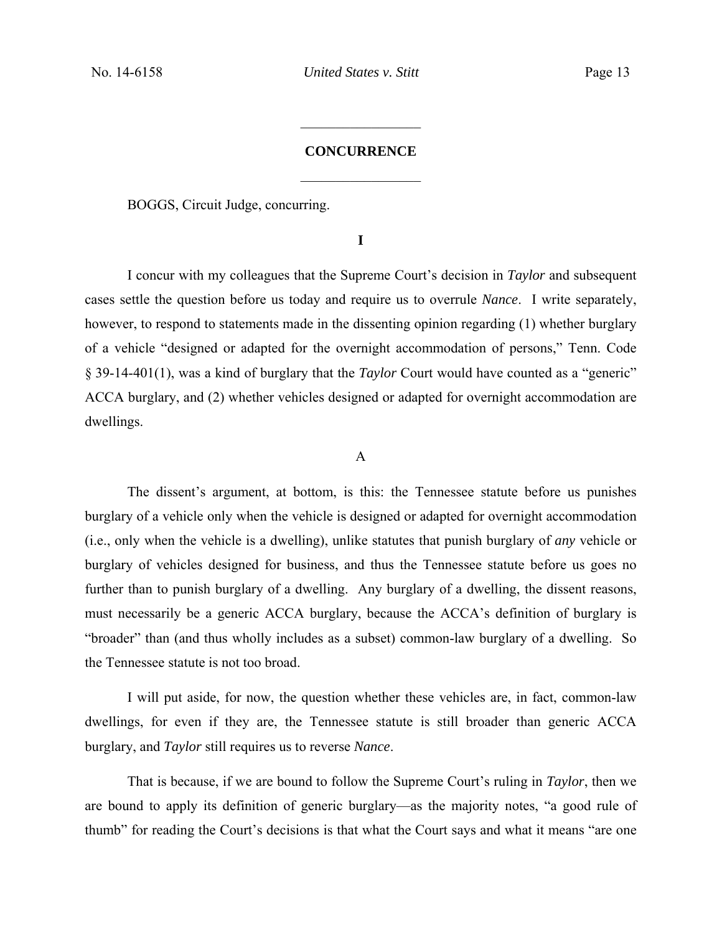## **CONCURRENCE**   $\frac{1}{2}$

 $\frac{1}{2}$ 

BOGGS, Circuit Judge, concurring.

**I** 

I concur with my colleagues that the Supreme Court's decision in *Taylor* and subsequent cases settle the question before us today and require us to overrule *Nance*. I write separately, however, to respond to statements made in the dissenting opinion regarding (1) whether burglary of a vehicle "designed or adapted for the overnight accommodation of persons," Tenn. Code § 39-14-401(1), was a kind of burglary that the *Taylor* Court would have counted as a "generic" ACCA burglary, and (2) whether vehicles designed or adapted for overnight accommodation are dwellings.

#### A

The dissent's argument, at bottom, is this: the Tennessee statute before us punishes burglary of a vehicle only when the vehicle is designed or adapted for overnight accommodation (i.e., only when the vehicle is a dwelling), unlike statutes that punish burglary of *any* vehicle or burglary of vehicles designed for business, and thus the Tennessee statute before us goes no further than to punish burglary of a dwelling. Any burglary of a dwelling, the dissent reasons, must necessarily be a generic ACCA burglary, because the ACCA's definition of burglary is "broader" than (and thus wholly includes as a subset) common-law burglary of a dwelling. So the Tennessee statute is not too broad.

I will put aside, for now, the question whether these vehicles are, in fact, common-law dwellings, for even if they are, the Tennessee statute is still broader than generic ACCA burglary, and *Taylor* still requires us to reverse *Nance*.

That is because, if we are bound to follow the Supreme Court's ruling in *Taylor*, then we are bound to apply its definition of generic burglary—as the majority notes, "a good rule of thumb" for reading the Court's decisions is that what the Court says and what it means "are one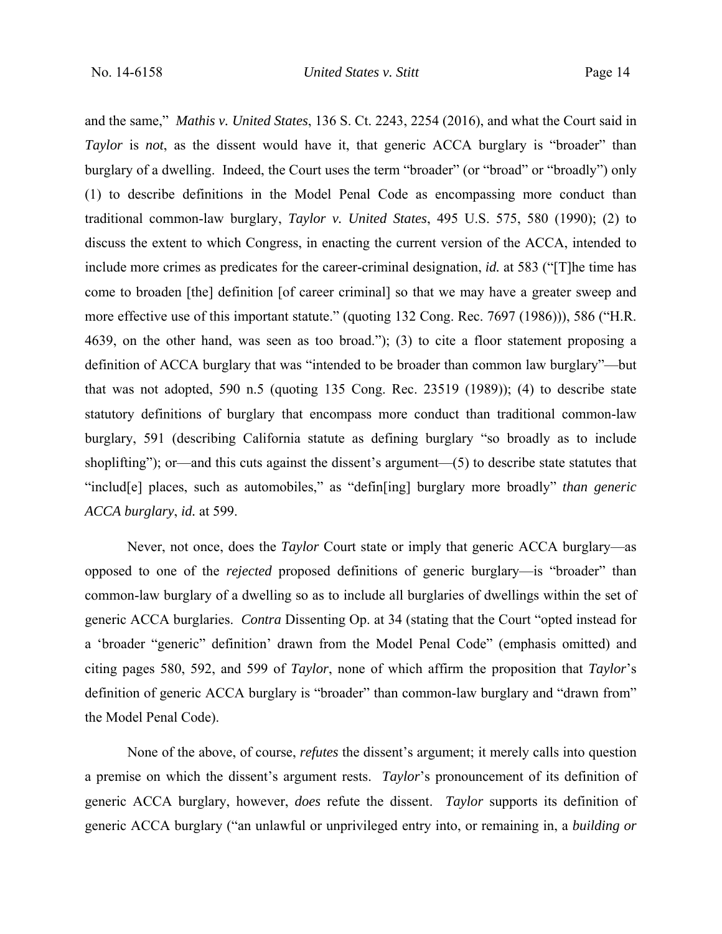and the same," *Mathis v. United States*, 136 S. Ct. 2243, 2254 (2016), and what the Court said in *Taylor* is *not*, as the dissent would have it, that generic ACCA burglary is "broader" than burglary of a dwelling. Indeed, the Court uses the term "broader" (or "broad" or "broadly") only (1) to describe definitions in the Model Penal Code as encompassing more conduct than traditional common-law burglary, *Taylor v. United States*, 495 U.S. 575, 580 (1990); (2) to discuss the extent to which Congress, in enacting the current version of the ACCA, intended to include more crimes as predicates for the career-criminal designation, *id.* at 583 ("[T]he time has come to broaden [the] definition [of career criminal] so that we may have a greater sweep and more effective use of this important statute." (quoting 132 Cong. Rec. 7697 (1986))), 586 ("H.R. 4639, on the other hand, was seen as too broad."); (3) to cite a floor statement proposing a definition of ACCA burglary that was "intended to be broader than common law burglary"—but that was not adopted, 590 n.5 (quoting 135 Cong. Rec. 23519 (1989)); (4) to describe state statutory definitions of burglary that encompass more conduct than traditional common-law burglary, 591 (describing California statute as defining burglary "so broadly as to include shoplifting"); or—and this cuts against the dissent's argument—(5) to describe state statutes that "includ[e] places, such as automobiles," as "defin[ing] burglary more broadly" *than generic ACCA burglary*, *id.* at 599.

Never, not once, does the *Taylor* Court state or imply that generic ACCA burglary—as opposed to one of the *rejected* proposed definitions of generic burglary—is "broader" than common-law burglary of a dwelling so as to include all burglaries of dwellings within the set of generic ACCA burglaries. *Contra* Dissenting Op. at 34 (stating that the Court "opted instead for a 'broader "generic" definition' drawn from the Model Penal Code" (emphasis omitted) and citing pages 580, 592, and 599 of *Taylor*, none of which affirm the proposition that *Taylor*'s definition of generic ACCA burglary is "broader" than common-law burglary and "drawn from" the Model Penal Code).

None of the above, of course, *refutes* the dissent's argument; it merely calls into question a premise on which the dissent's argument rests. *Taylor*'s pronouncement of its definition of generic ACCA burglary, however, *does* refute the dissent. *Taylor* supports its definition of generic ACCA burglary ("an unlawful or unprivileged entry into, or remaining in, a *building or*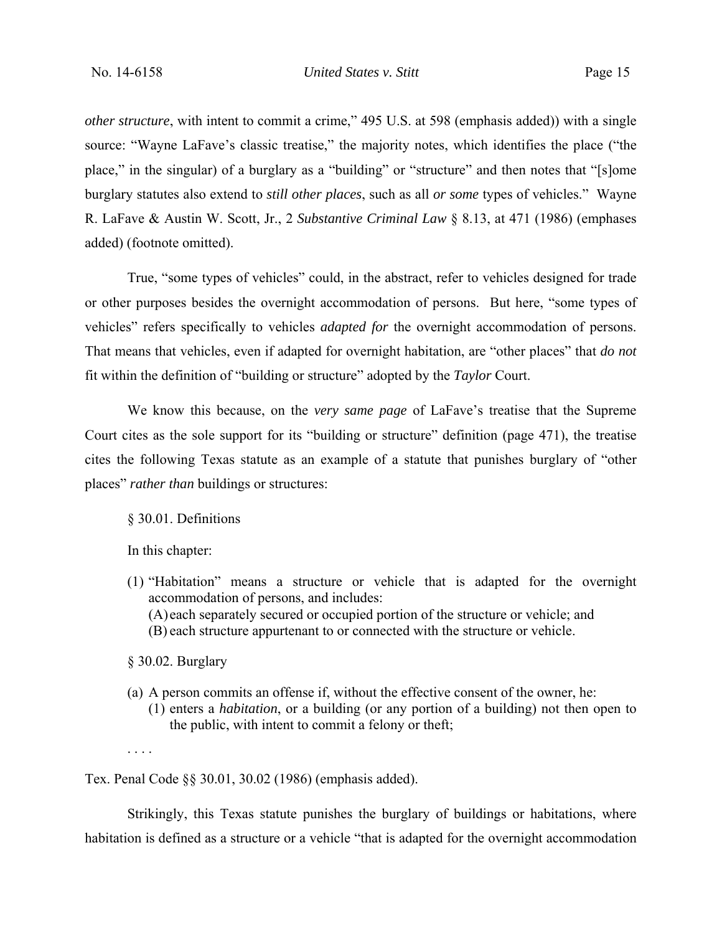*other structure*, with intent to commit a crime," 495 U.S. at 598 (emphasis added)) with a single source: "Wayne LaFave's classic treatise," the majority notes, which identifies the place ("the place," in the singular) of a burglary as a "building" or "structure" and then notes that "[s]ome burglary statutes also extend to *still other places*, such as all *or some* types of vehicles." Wayne R. LaFave & Austin W. Scott, Jr., 2 *Substantive Criminal Law* § 8.13, at 471 (1986) (emphases added) (footnote omitted).

True, "some types of vehicles" could, in the abstract, refer to vehicles designed for trade or other purposes besides the overnight accommodation of persons. But here, "some types of vehicles" refers specifically to vehicles *adapted for* the overnight accommodation of persons. That means that vehicles, even if adapted for overnight habitation, are "other places" that *do not* fit within the definition of "building or structure" adopted by the *Taylor* Court.

We know this because, on the *very same page* of LaFave's treatise that the Supreme Court cites as the sole support for its "building or structure" definition (page 471), the treatise cites the following Texas statute as an example of a statute that punishes burglary of "other places" *rather than* buildings or structures:

### § 30.01. Definitions

In this chapter:

(1) "Habitation" means a structure or vehicle that is adapted for the overnight accommodation of persons, and includes: (A) each separately secured or occupied portion of the structure or vehicle; and (B) each structure appurtenant to or connected with the structure or vehicle.

§ 30.02. Burglary

- (a) A person commits an offense if, without the effective consent of the owner, he:
	- (1) enters a *habitation*, or a building (or any portion of a building) not then open to the public, with intent to commit a felony or theft;

. . . .

Tex. Penal Code §§ 30.01, 30.02 (1986) (emphasis added).

Strikingly, this Texas statute punishes the burglary of buildings or habitations, where habitation is defined as a structure or a vehicle "that is adapted for the overnight accommodation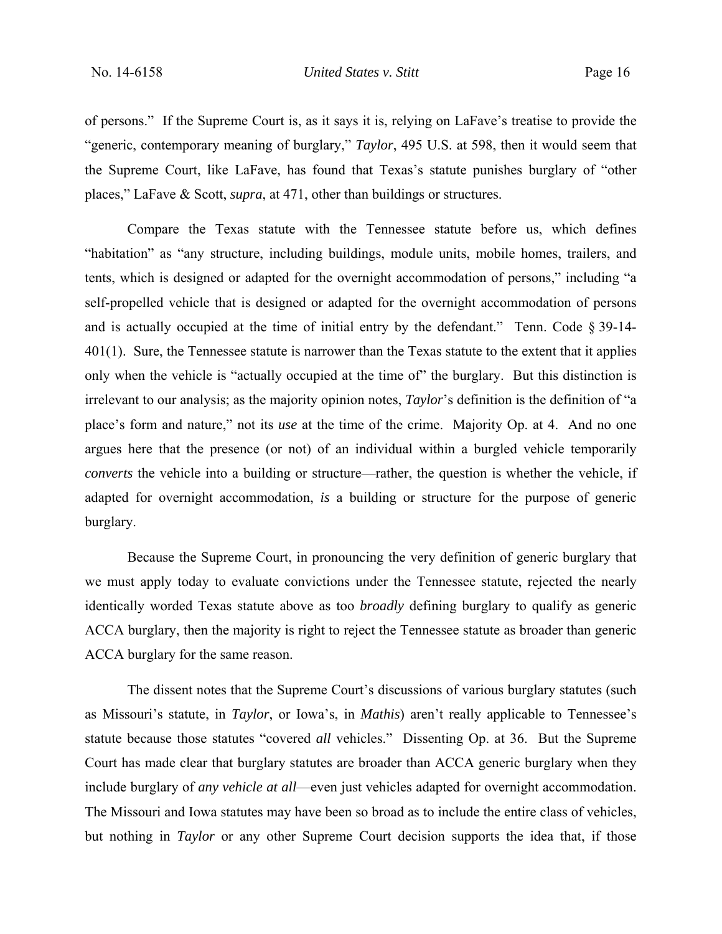of persons." If the Supreme Court is, as it says it is, relying on LaFave's treatise to provide the "generic, contemporary meaning of burglary," *Taylor*, 495 U.S. at 598, then it would seem that the Supreme Court, like LaFave, has found that Texas's statute punishes burglary of "other places," LaFave & Scott, *supra*, at 471, other than buildings or structures.

Compare the Texas statute with the Tennessee statute before us, which defines "habitation" as "any structure, including buildings, module units, mobile homes, trailers, and tents, which is designed or adapted for the overnight accommodation of persons," including "a self-propelled vehicle that is designed or adapted for the overnight accommodation of persons and is actually occupied at the time of initial entry by the defendant." Tenn. Code  $\S 39-14-$ 401(1). Sure, the Tennessee statute is narrower than the Texas statute to the extent that it applies only when the vehicle is "actually occupied at the time of" the burglary. But this distinction is irrelevant to our analysis; as the majority opinion notes, *Taylor*'s definition is the definition of "a place's form and nature," not its *use* at the time of the crime. Majority Op. at 4. And no one argues here that the presence (or not) of an individual within a burgled vehicle temporarily *converts* the vehicle into a building or structure—rather, the question is whether the vehicle, if adapted for overnight accommodation, *is* a building or structure for the purpose of generic burglary.

Because the Supreme Court, in pronouncing the very definition of generic burglary that we must apply today to evaluate convictions under the Tennessee statute, rejected the nearly identically worded Texas statute above as too *broadly* defining burglary to qualify as generic ACCA burglary, then the majority is right to reject the Tennessee statute as broader than generic ACCA burglary for the same reason.

The dissent notes that the Supreme Court's discussions of various burglary statutes (such as Missouri's statute, in *Taylor*, or Iowa's, in *Mathis*) aren't really applicable to Tennessee's statute because those statutes "covered *all* vehicles." Dissenting Op. at 36. But the Supreme Court has made clear that burglary statutes are broader than ACCA generic burglary when they include burglary of *any vehicle at all*—even just vehicles adapted for overnight accommodation. The Missouri and Iowa statutes may have been so broad as to include the entire class of vehicles, but nothing in *Taylor* or any other Supreme Court decision supports the idea that, if those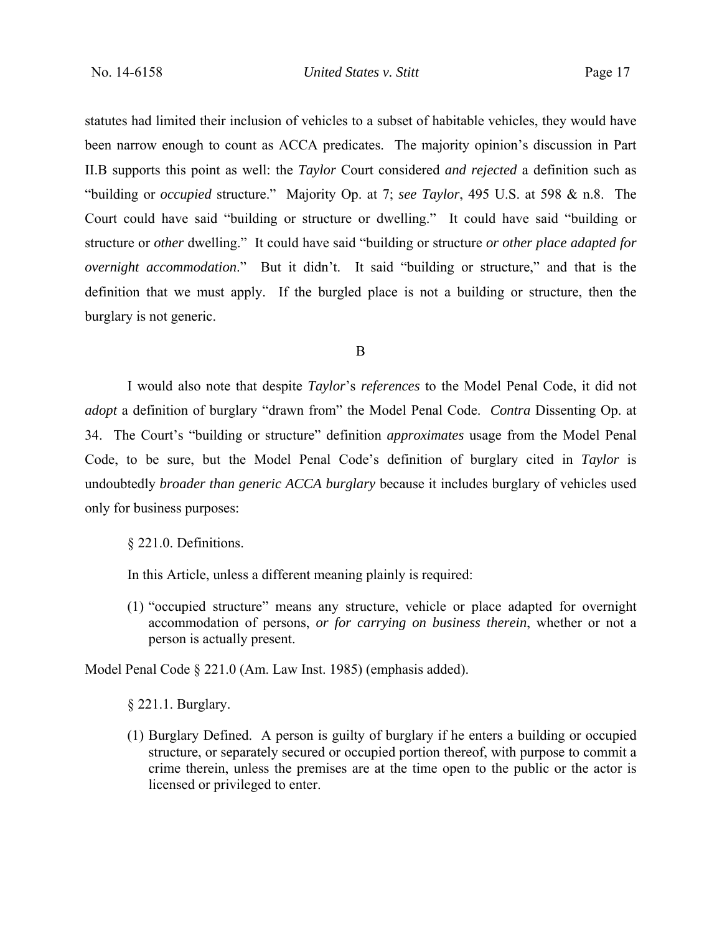statutes had limited their inclusion of vehicles to a subset of habitable vehicles, they would have been narrow enough to count as ACCA predicates. The majority opinion's discussion in Part II.B supports this point as well: the *Taylor* Court considered *and rejected* a definition such as "building or *occupied* structure." Majority Op. at 7; *see Taylor*, 495 U.S. at 598 & n.8. The Court could have said "building or structure or dwelling." It could have said "building or structure or *other* dwelling." It could have said "building or structure *or other place adapted for overnight accommodation*." But it didn't. It said "building or structure," and that is the definition that we must apply. If the burgled place is not a building or structure, then the burglary is not generic.

B

I would also note that despite *Taylor*'s *references* to the Model Penal Code, it did not *adopt* a definition of burglary "drawn from" the Model Penal Code. *Contra* Dissenting Op. at 34. The Court's "building or structure" definition *approximates* usage from the Model Penal Code, to be sure, but the Model Penal Code's definition of burglary cited in *Taylor* is undoubtedly *broader than generic ACCA burglary* because it includes burglary of vehicles used only for business purposes:

§ 221.0. Definitions.

In this Article, unless a different meaning plainly is required:

(1) "occupied structure" means any structure, vehicle or place adapted for overnight accommodation of persons, *or for carrying on business therein*, whether or not a person is actually present.

Model Penal Code § 221.0 (Am. Law Inst. 1985) (emphasis added).

§ 221.1. Burglary.

(1) Burglary Defined. A person is guilty of burglary if he enters a building or occupied structure, or separately secured or occupied portion thereof, with purpose to commit a crime therein, unless the premises are at the time open to the public or the actor is licensed or privileged to enter.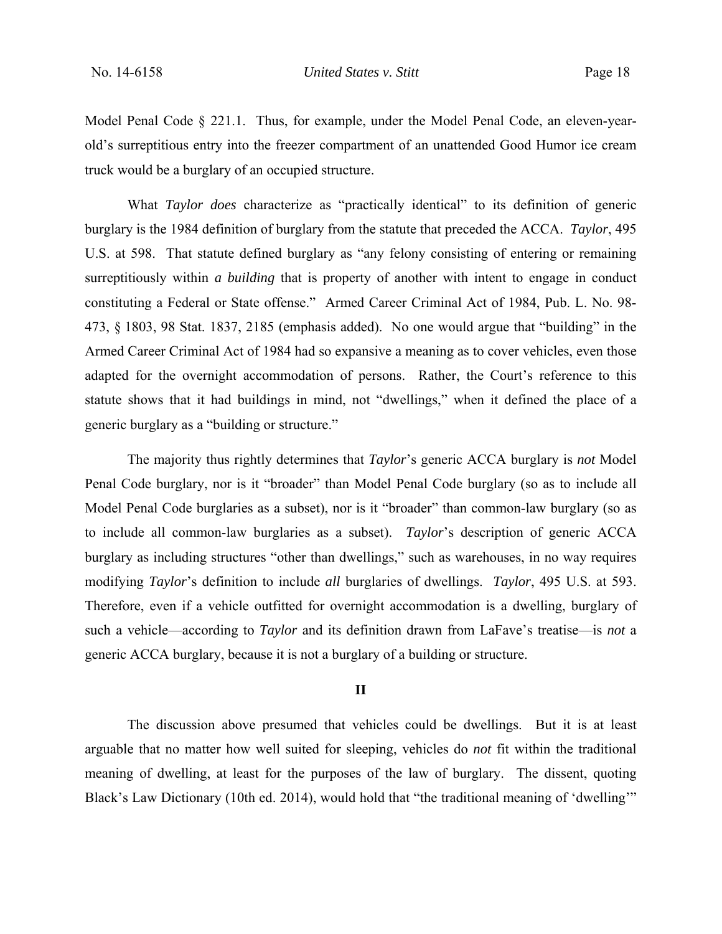Model Penal Code § 221.1. Thus, for example, under the Model Penal Code, an eleven-yearold's surreptitious entry into the freezer compartment of an unattended Good Humor ice cream truck would be a burglary of an occupied structure.

What *Taylor does* characterize as "practically identical" to its definition of generic burglary is the 1984 definition of burglary from the statute that preceded the ACCA. *Taylor*, 495 U.S. at 598. That statute defined burglary as "any felony consisting of entering or remaining surreptitiously within *a building* that is property of another with intent to engage in conduct constituting a Federal or State offense." Armed Career Criminal Act of 1984, Pub. L. No. 98- 473, § 1803, 98 Stat. 1837, 2185 (emphasis added). No one would argue that "building" in the Armed Career Criminal Act of 1984 had so expansive a meaning as to cover vehicles, even those adapted for the overnight accommodation of persons. Rather, the Court's reference to this statute shows that it had buildings in mind, not "dwellings," when it defined the place of a generic burglary as a "building or structure."

The majority thus rightly determines that *Taylor*'s generic ACCA burglary is *not* Model Penal Code burglary, nor is it "broader" than Model Penal Code burglary (so as to include all Model Penal Code burglaries as a subset), nor is it "broader" than common-law burglary (so as to include all common-law burglaries as a subset). *Taylor*'s description of generic ACCA burglary as including structures "other than dwellings," such as warehouses, in no way requires modifying *Taylor*'s definition to include *all* burglaries of dwellings. *Taylor*, 495 U.S. at 593. Therefore, even if a vehicle outfitted for overnight accommodation is a dwelling, burglary of such a vehicle—according to *Taylor* and its definition drawn from LaFave's treatise—is *not* a generic ACCA burglary, because it is not a burglary of a building or structure.

#### **II**

The discussion above presumed that vehicles could be dwellings. But it is at least arguable that no matter how well suited for sleeping, vehicles do *not* fit within the traditional meaning of dwelling, at least for the purposes of the law of burglary. The dissent, quoting Black's Law Dictionary (10th ed. 2014), would hold that "the traditional meaning of 'dwelling'"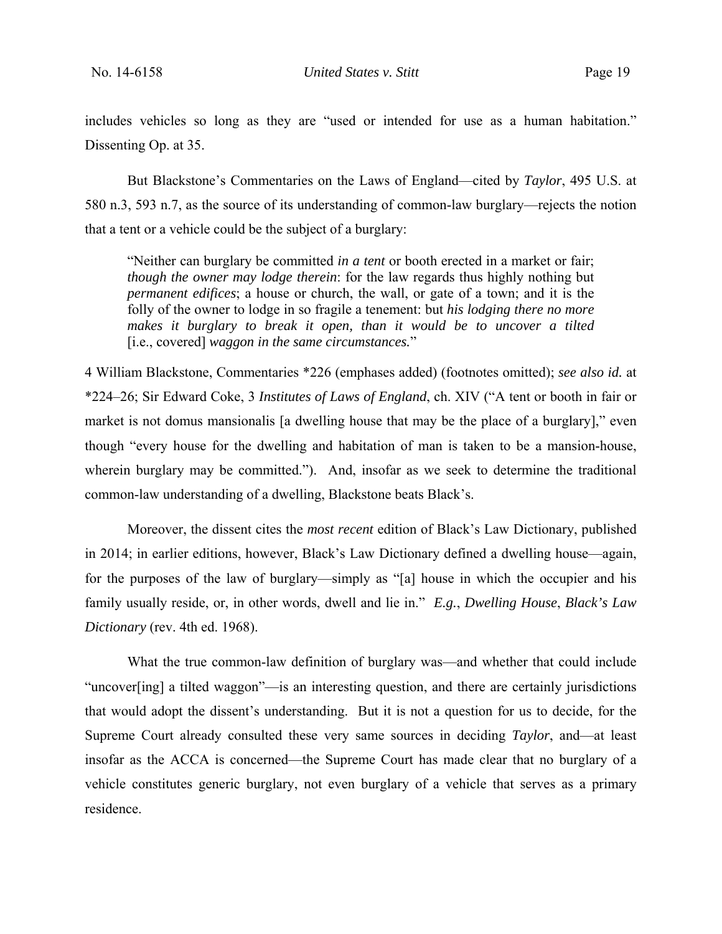includes vehicles so long as they are "used or intended for use as a human habitation." Dissenting Op. at 35.

But Blackstone's Commentaries on the Laws of England—cited by *Taylor*, 495 U.S. at 580 n.3, 593 n.7, as the source of its understanding of common-law burglary—rejects the notion that a tent or a vehicle could be the subject of a burglary:

"Neither can burglary be committed *in a tent* or booth erected in a market or fair; *though the owner may lodge therein*: for the law regards thus highly nothing but *permanent edifices*; a house or church, the wall, or gate of a town; and it is the folly of the owner to lodge in so fragile a tenement: but *his lodging there no more*  makes it burglary to break it open, than it would be to uncover a tilted [i.e., covered] *waggon in the same circumstances.*"

4 William Blackstone, Commentaries \*226 (emphases added) (footnotes omitted); *see also id.* at \*224–26; Sir Edward Coke, 3 *Institutes of Laws of England*, ch. XIV ("A tent or booth in fair or market is not domus mansionalis [a dwelling house that may be the place of a burglary]," even though "every house for the dwelling and habitation of man is taken to be a mansion-house, wherein burglary may be committed."). And, insofar as we seek to determine the traditional common-law understanding of a dwelling, Blackstone beats Black's.

Moreover, the dissent cites the *most recent* edition of Black's Law Dictionary, published in 2014; in earlier editions, however, Black's Law Dictionary defined a dwelling house—again, for the purposes of the law of burglary—simply as "[a] house in which the occupier and his family usually reside, or, in other words, dwell and lie in." *E.g.*, *Dwelling House*, *Black's Law Dictionary* (rev. 4th ed. 1968).

What the true common-law definition of burglary was—and whether that could include "uncover[ing] a tilted waggon"—is an interesting question, and there are certainly jurisdictions that would adopt the dissent's understanding. But it is not a question for us to decide, for the Supreme Court already consulted these very same sources in deciding *Taylor*, and—at least insofar as the ACCA is concerned—the Supreme Court has made clear that no burglary of a vehicle constitutes generic burglary, not even burglary of a vehicle that serves as a primary residence.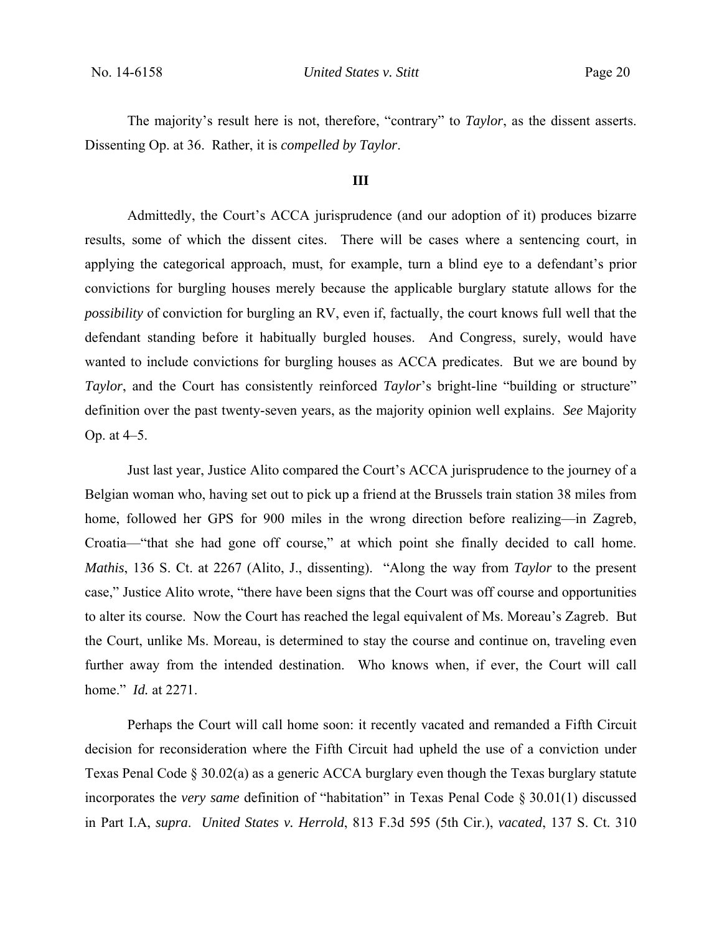The majority's result here is not, therefore, "contrary" to *Taylor*, as the dissent asserts. Dissenting Op. at 36. Rather, it is *compelled by Taylor*.

### **III**

Admittedly, the Court's ACCA jurisprudence (and our adoption of it) produces bizarre results, some of which the dissent cites. There will be cases where a sentencing court, in applying the categorical approach, must, for example, turn a blind eye to a defendant's prior convictions for burgling houses merely because the applicable burglary statute allows for the *possibility* of conviction for burgling an RV, even if, factually, the court knows full well that the defendant standing before it habitually burgled houses. And Congress, surely, would have wanted to include convictions for burgling houses as ACCA predicates. But we are bound by *Taylor*, and the Court has consistently reinforced *Taylor*'s bright-line "building or structure" definition over the past twenty-seven years, as the majority opinion well explains. *See* Majority Op. at 4–5.

Just last year, Justice Alito compared the Court's ACCA jurisprudence to the journey of a Belgian woman who, having set out to pick up a friend at the Brussels train station 38 miles from home, followed her GPS for 900 miles in the wrong direction before realizing—in Zagreb, Croatia—"that she had gone off course," at which point she finally decided to call home. *Mathis*, 136 S. Ct. at 2267 (Alito, J., dissenting). "Along the way from *Taylor* to the present case," Justice Alito wrote, "there have been signs that the Court was off course and opportunities to alter its course. Now the Court has reached the legal equivalent of Ms. Moreau's Zagreb. But the Court, unlike Ms. Moreau, is determined to stay the course and continue on, traveling even further away from the intended destination. Who knows when, if ever, the Court will call home." *Id.* at 2271.

Perhaps the Court will call home soon: it recently vacated and remanded a Fifth Circuit decision for reconsideration where the Fifth Circuit had upheld the use of a conviction under Texas Penal Code § 30.02(a) as a generic ACCA burglary even though the Texas burglary statute incorporates the *very same* definition of "habitation" in Texas Penal Code § 30.01(1) discussed in Part I.A, *supra*. *United States v. Herrold*, 813 F.3d 595 (5th Cir.), *vacated*, 137 S. Ct. 310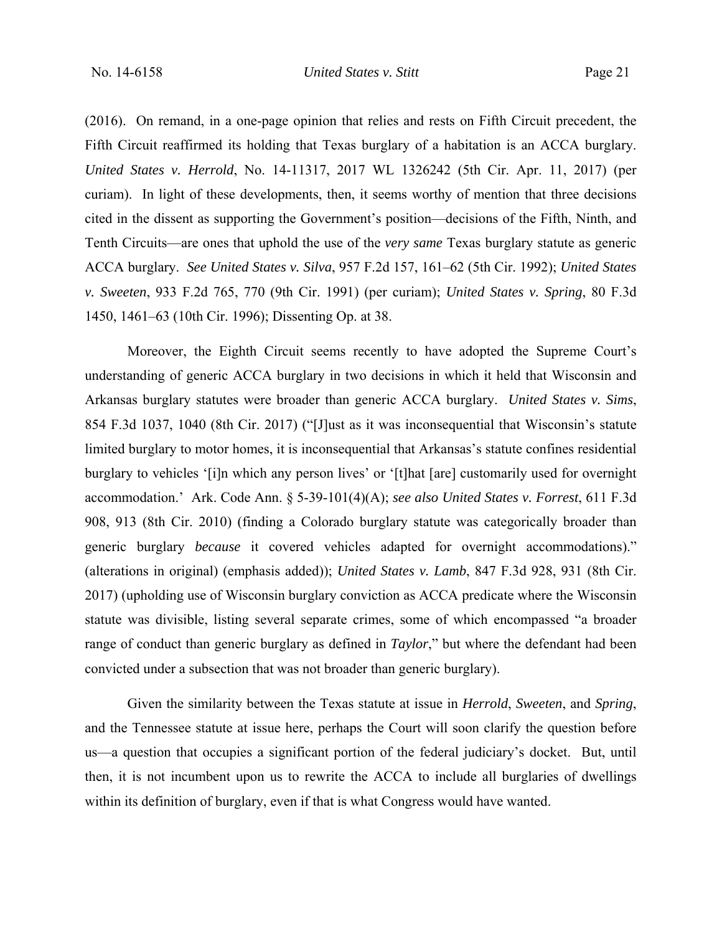(2016). On remand, in a one-page opinion that relies and rests on Fifth Circuit precedent, the Fifth Circuit reaffirmed its holding that Texas burglary of a habitation is an ACCA burglary. *United States v. Herrold*, No. 14-11317, 2017 WL 1326242 (5th Cir. Apr. 11, 2017) (per curiam). In light of these developments, then, it seems worthy of mention that three decisions cited in the dissent as supporting the Government's position—decisions of the Fifth, Ninth, and Tenth Circuits—are ones that uphold the use of the *very same* Texas burglary statute as generic ACCA burglary. *See United States v. Silva*, 957 F.2d 157, 161–62 (5th Cir. 1992); *United States v. Sweeten*, 933 F.2d 765, 770 (9th Cir. 1991) (per curiam); *United States v. Spring*, 80 F.3d 1450, 1461–63 (10th Cir. 1996); Dissenting Op. at 38.

Moreover, the Eighth Circuit seems recently to have adopted the Supreme Court's understanding of generic ACCA burglary in two decisions in which it held that Wisconsin and Arkansas burglary statutes were broader than generic ACCA burglary. *United States v. Sims*, 854 F.3d 1037, 1040 (8th Cir. 2017) ("[J]ust as it was inconsequential that Wisconsin's statute limited burglary to motor homes, it is inconsequential that Arkansas's statute confines residential burglary to vehicles '[i]n which any person lives' or '[t]hat [are] customarily used for overnight accommodation.' Ark. Code Ann. § 5-39-101(4)(A); *see also United States v. Forrest*, 611 F.3d 908, 913 (8th Cir. 2010) (finding a Colorado burglary statute was categorically broader than generic burglary *because* it covered vehicles adapted for overnight accommodations)." (alterations in original) (emphasis added)); *United States v. Lamb*, 847 F.3d 928, 931 (8th Cir. 2017) (upholding use of Wisconsin burglary conviction as ACCA predicate where the Wisconsin statute was divisible, listing several separate crimes, some of which encompassed "a broader range of conduct than generic burglary as defined in *Taylor*," but where the defendant had been convicted under a subsection that was not broader than generic burglary).

Given the similarity between the Texas statute at issue in *Herrold*, *Sweeten*, and *Spring*, and the Tennessee statute at issue here, perhaps the Court will soon clarify the question before us—a question that occupies a significant portion of the federal judiciary's docket. But, until then, it is not incumbent upon us to rewrite the ACCA to include all burglaries of dwellings within its definition of burglary, even if that is what Congress would have wanted.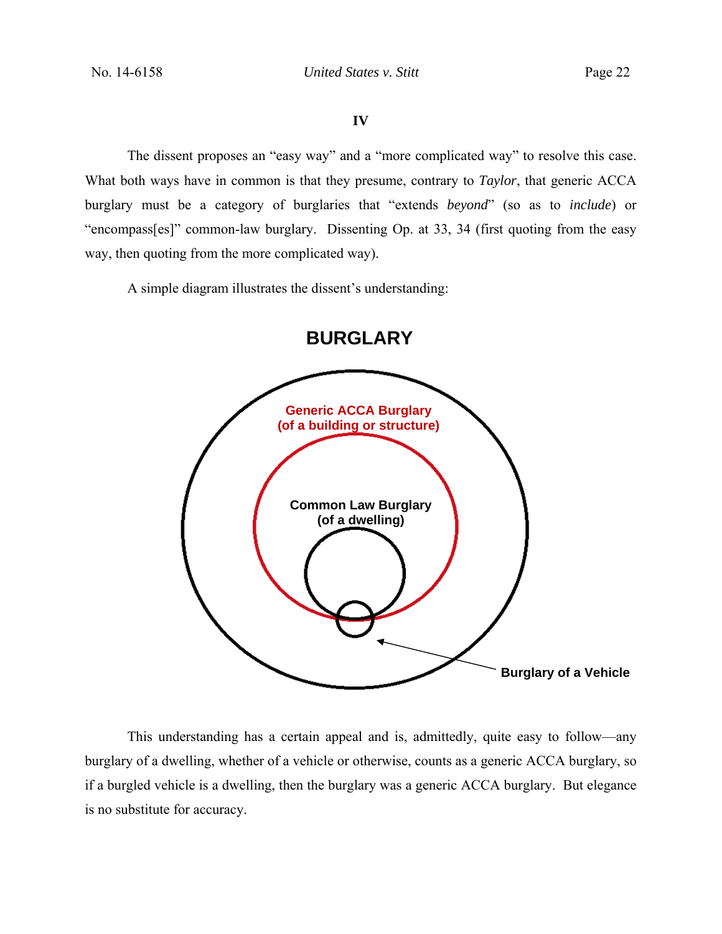### **IV**

The dissent proposes an "easy way" and a "more complicated way" to resolve this case. What both ways have in common is that they presume, contrary to *Taylor*, that generic ACCA burglary must be a category of burglaries that "extends *beyond*" (so as to *include*) or "encompass[es]" common-law burglary. Dissenting Op. at 33, 34 (first quoting from the easy way, then quoting from the more complicated way).

A simple diagram illustrates the dissent's understanding:



This understanding has a certain appeal and is, admittedly, quite easy to follow—any burglary of a dwelling, whether of a vehicle or otherwise, counts as a generic ACCA burglary, so if a burgled vehicle is a dwelling, then the burglary was a generic ACCA burglary. But elegance is no substitute for accuracy.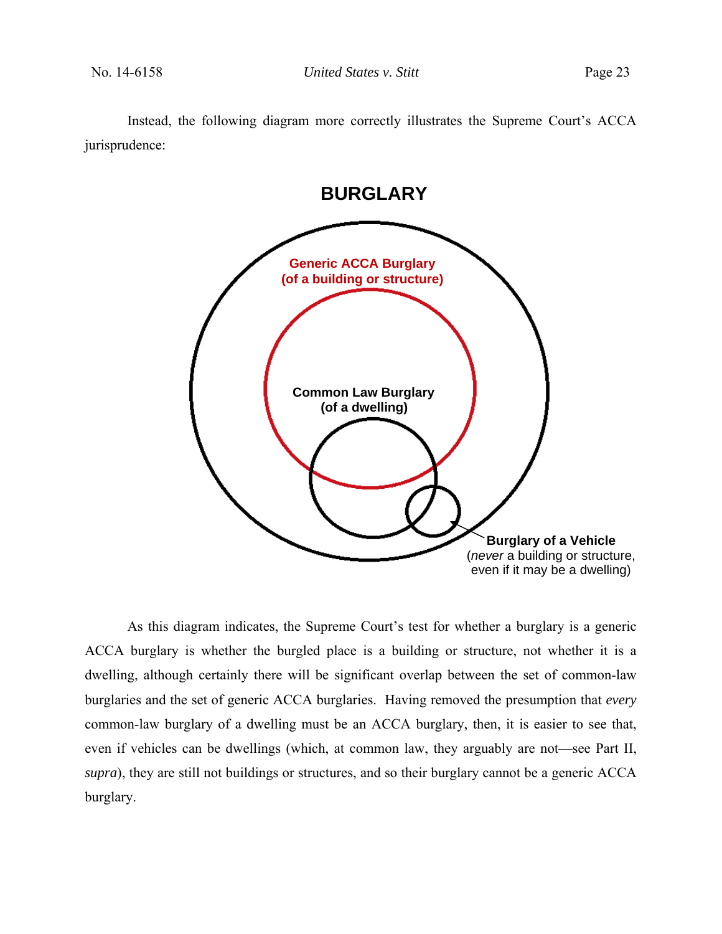Instead, the following diagram more correctly illustrates the Supreme Court's ACCA jurisprudence:



As this diagram indicates, the Supreme Court's test for whether a burglary is a generic ACCA burglary is whether the burgled place is a building or structure, not whether it is a dwelling, although certainly there will be significant overlap between the set of common-law burglaries and the set of generic ACCA burglaries. Having removed the presumption that *every* common-law burglary of a dwelling must be an ACCA burglary, then, it is easier to see that, even if vehicles can be dwellings (which, at common law, they arguably are not—see Part II, *supra*), they are still not buildings or structures, and so their burglary cannot be a generic ACCA burglary.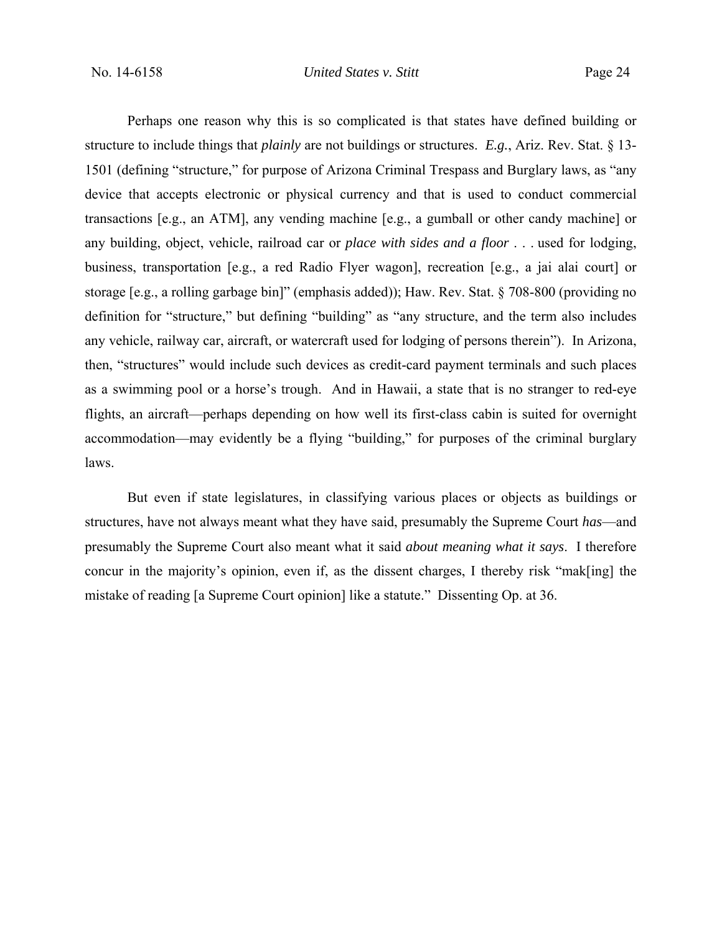Perhaps one reason why this is so complicated is that states have defined building or structure to include things that *plainly* are not buildings or structures. *E.g.*, Ariz. Rev. Stat. § 13- 1501 (defining "structure," for purpose of Arizona Criminal Trespass and Burglary laws, as "any device that accepts electronic or physical currency and that is used to conduct commercial transactions [e.g., an ATM], any vending machine [e.g., a gumball or other candy machine] or any building, object, vehicle, railroad car or *place with sides and a floor* . . . used for lodging, business, transportation [e.g., a red Radio Flyer wagon], recreation [e.g., a jai alai court] or storage [e.g., a rolling garbage bin]" (emphasis added)); Haw. Rev. Stat. § 708-800 (providing no definition for "structure," but defining "building" as "any structure, and the term also includes any vehicle, railway car, aircraft, or watercraft used for lodging of persons therein"). In Arizona, then, "structures" would include such devices as credit-card payment terminals and such places as a swimming pool or a horse's trough. And in Hawaii, a state that is no stranger to red-eye flights, an aircraft—perhaps depending on how well its first-class cabin is suited for overnight accommodation—may evidently be a flying "building," for purposes of the criminal burglary laws.

But even if state legislatures, in classifying various places or objects as buildings or structures, have not always meant what they have said, presumably the Supreme Court *has*—and presumably the Supreme Court also meant what it said *about meaning what it says*. I therefore concur in the majority's opinion, even if, as the dissent charges, I thereby risk "mak[ing] the mistake of reading [a Supreme Court opinion] like a statute." Dissenting Op. at 36.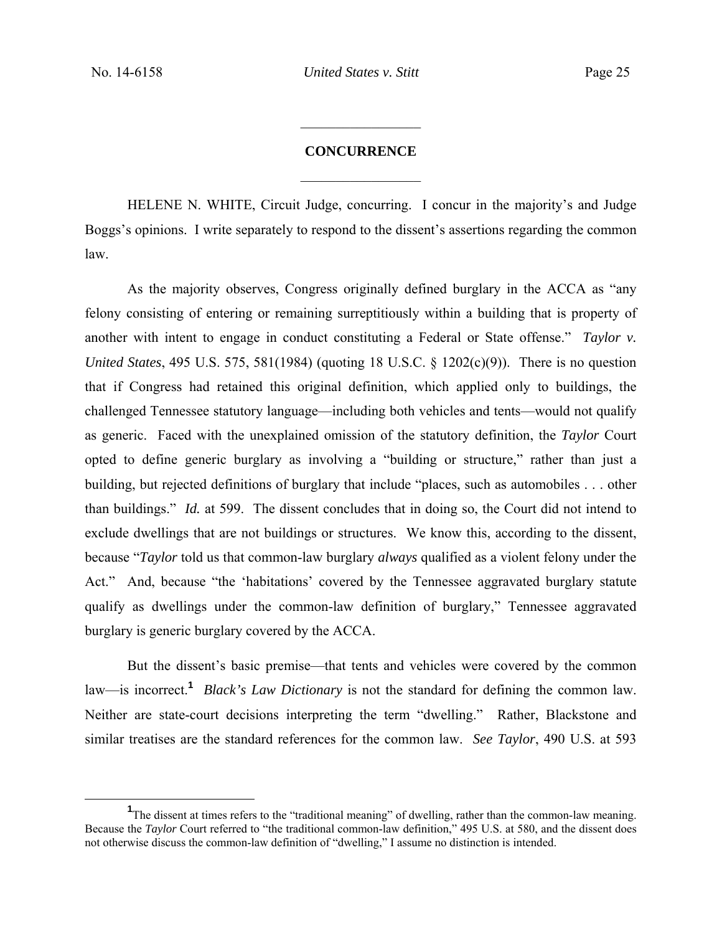# **CONCURRENCE**   $\frac{1}{2}$

 $\frac{1}{2}$ 

HELENE N. WHITE, Circuit Judge, concurring. I concur in the majority's and Judge Boggs's opinions. I write separately to respond to the dissent's assertions regarding the common law.

As the majority observes, Congress originally defined burglary in the ACCA as "any felony consisting of entering or remaining surreptitiously within a building that is property of another with intent to engage in conduct constituting a Federal or State offense." *Taylor v. United States*, 495 U.S. 575, 581(1984) (quoting 18 U.S.C. § 1202(c)(9)). There is no question that if Congress had retained this original definition, which applied only to buildings, the challenged Tennessee statutory language—including both vehicles and tents—would not qualify as generic. Faced with the unexplained omission of the statutory definition, the *Taylor* Court opted to define generic burglary as involving a "building or structure," rather than just a building, but rejected definitions of burglary that include "places, such as automobiles . . . other than buildings." *Id.* at 599. The dissent concludes that in doing so, the Court did not intend to exclude dwellings that are not buildings or structures. We know this, according to the dissent, because "*Taylor* told us that common-law burglary *always* qualified as a violent felony under the Act." And, because "the 'habitations' covered by the Tennessee aggravated burglary statute qualify as dwellings under the common-law definition of burglary," Tennessee aggravated burglary is generic burglary covered by the ACCA.

But the dissent's basic premise—that tents and vehicles were covered by the common law—is incorrect.**<sup>1</sup>** *Black's Law Dictionary* is not the standard for defining the common law. Neither are state-court decisions interpreting the term "dwelling." Rather, Blackstone and similar treatises are the standard references for the common law. *See Taylor*, 490 U.S. at 593

 $\frac{1}{1}$ <sup>1</sup>The dissent at times refers to the "traditional meaning" of dwelling, rather than the common-law meaning. Because the *Taylor* Court referred to "the traditional common-law definition," 495 U.S. at 580, and the dissent does not otherwise discuss the common-law definition of "dwelling," I assume no distinction is intended.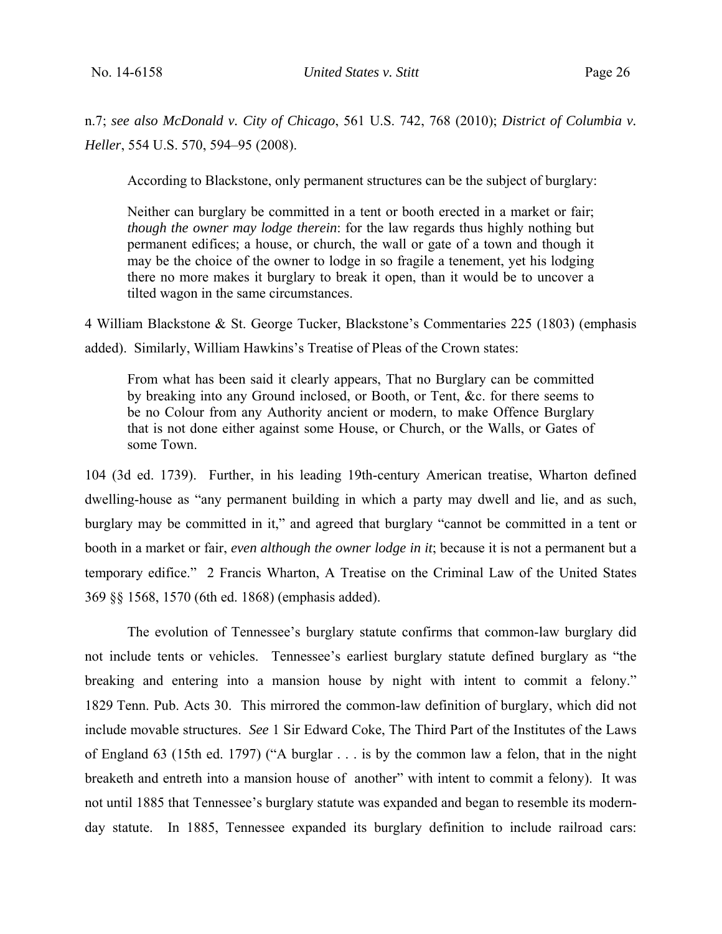n.7; *see also McDonald v. City of Chicago*, 561 U.S. 742, 768 (2010); *District of Columbia v. Heller*, 554 U.S. 570, 594–95 (2008).

According to Blackstone, only permanent structures can be the subject of burglary:

Neither can burglary be committed in a tent or booth erected in a market or fair; *though the owner may lodge therein*: for the law regards thus highly nothing but permanent edifices; a house, or church, the wall or gate of a town and though it may be the choice of the owner to lodge in so fragile a tenement, yet his lodging there no more makes it burglary to break it open, than it would be to uncover a tilted wagon in the same circumstances.

4 William Blackstone & St. George Tucker, Blackstone's Commentaries 225 (1803) (emphasis added). Similarly, William Hawkins's Treatise of Pleas of the Crown states:

From what has been said it clearly appears, That no Burglary can be committed by breaking into any Ground inclosed, or Booth, or Tent, &c. for there seems to be no Colour from any Authority ancient or modern, to make Offence Burglary that is not done either against some House, or Church, or the Walls, or Gates of some Town.

104 (3d ed. 1739). Further, in his leading 19th-century American treatise, Wharton defined dwelling-house as "any permanent building in which a party may dwell and lie, and as such, burglary may be committed in it," and agreed that burglary "cannot be committed in a tent or booth in a market or fair, *even although the owner lodge in it*; because it is not a permanent but a temporary edifice." 2 Francis Wharton, A Treatise on the Criminal Law of the United States 369 §§ 1568, 1570 (6th ed. 1868) (emphasis added).

The evolution of Tennessee's burglary statute confirms that common-law burglary did not include tents or vehicles. Tennessee's earliest burglary statute defined burglary as "the breaking and entering into a mansion house by night with intent to commit a felony." 1829 Tenn. Pub. Acts 30.This mirrored the common-law definition of burglary, which did not include movable structures. *See* 1 Sir Edward Coke, The Third Part of the Institutes of the Laws of England 63 (15th ed. 1797) ("A burglar . . . is by the common law a felon, that in the night breaketh and entreth into a mansion house of another" with intent to commit a felony). It was not until 1885 that Tennessee's burglary statute was expanded and began to resemble its modernday statute. In 1885, Tennessee expanded its burglary definition to include railroad cars: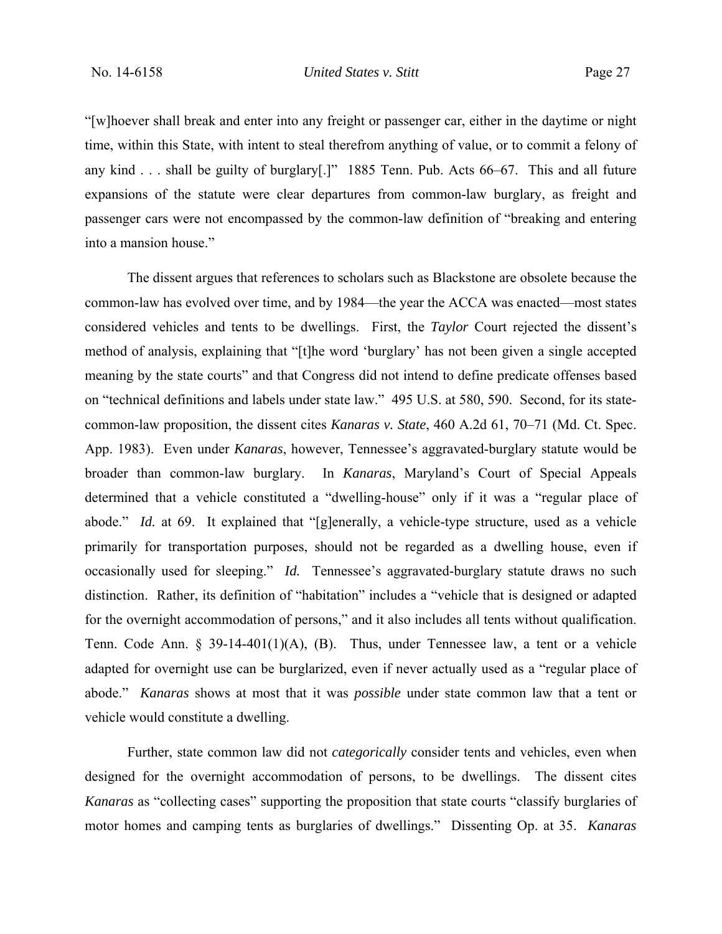"[w]hoever shall break and enter into any freight or passenger car, either in the daytime or night time, within this State, with intent to steal therefrom anything of value, or to commit a felony of any kind . . . shall be guilty of burglary[.]" 1885 Tenn. Pub. Acts 66–67.This and all future expansions of the statute were clear departures from common-law burglary, as freight and passenger cars were not encompassed by the common-law definition of "breaking and entering into a mansion house."

The dissent argues that references to scholars such as Blackstone are obsolete because the common-law has evolved over time, and by 1984—the year the ACCA was enacted—most states considered vehicles and tents to be dwellings. First, the *Taylor* Court rejected the dissent's method of analysis, explaining that "[t]he word 'burglary' has not been given a single accepted meaning by the state courts" and that Congress did not intend to define predicate offenses based on "technical definitions and labels under state law." 495 U.S. at 580, 590. Second, for its statecommon-law proposition, the dissent cites *Kanaras v. State*, 460 A.2d 61, 70–71 (Md. Ct. Spec. App. 1983). Even under *Kanaras*, however, Tennessee's aggravated-burglary statute would be broader than common-law burglary. In *Kanaras*, Maryland's Court of Special Appeals determined that a vehicle constituted a "dwelling-house" only if it was a "regular place of abode." *Id.* at 69. It explained that "[g]enerally, a vehicle-type structure, used as a vehicle primarily for transportation purposes, should not be regarded as a dwelling house, even if occasionally used for sleeping." *Id.* Tennessee's aggravated-burglary statute draws no such distinction. Rather, its definition of "habitation" includes a "vehicle that is designed or adapted for the overnight accommodation of persons," and it also includes all tents without qualification. Tenn. Code Ann. § 39-14-401(1)(A), (B). Thus, under Tennessee law, a tent or a vehicle adapted for overnight use can be burglarized, even if never actually used as a "regular place of abode." *Kanaras* shows at most that it was *possible* under state common law that a tent or vehicle would constitute a dwelling.

Further, state common law did not *categorically* consider tents and vehicles, even when designed for the overnight accommodation of persons, to be dwellings. The dissent cites *Kanaras* as "collecting cases" supporting the proposition that state courts "classify burglaries of motor homes and camping tents as burglaries of dwellings." Dissenting Op. at 35. *Kanaras*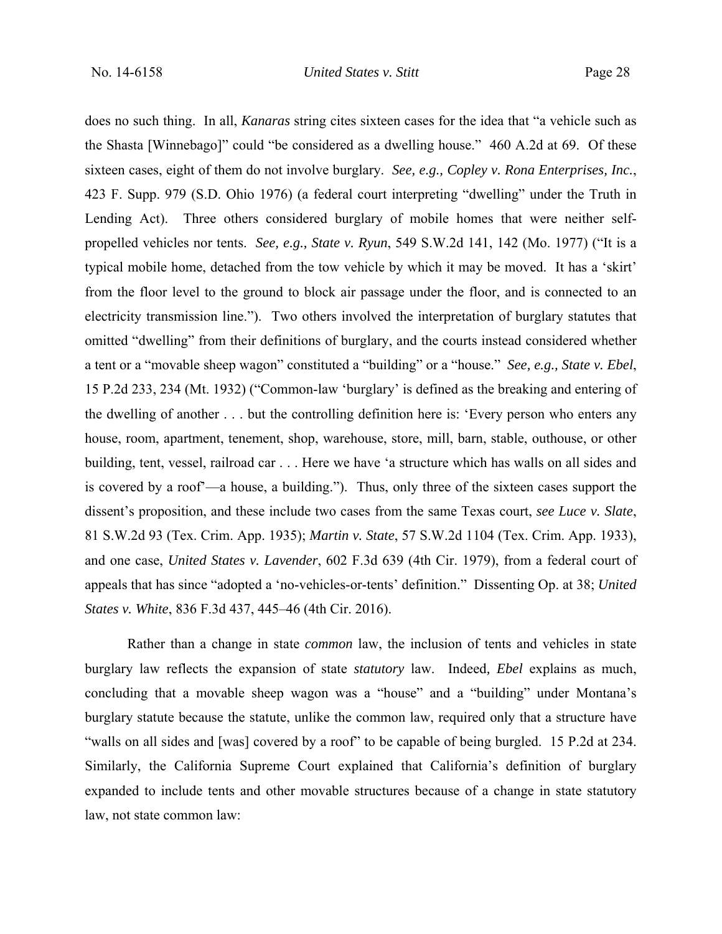does no such thing. In all, *Kanaras* string cites sixteen cases for the idea that "a vehicle such as the Shasta [Winnebago]" could "be considered as a dwelling house." 460 A.2d at 69. Of these sixteen cases, eight of them do not involve burglary. *See, e.g., Copley v. Rona Enterprises, Inc.*, 423 F. Supp. 979 (S.D. Ohio 1976) (a federal court interpreting "dwelling" under the Truth in Lending Act). Three others considered burglary of mobile homes that were neither selfpropelled vehicles nor tents. *See, e.g., State v. Ryun*, 549 S.W.2d 141, 142 (Mo. 1977) ("It is a typical mobile home, detached from the tow vehicle by which it may be moved. It has a 'skirt' from the floor level to the ground to block air passage under the floor, and is connected to an electricity transmission line."). Two others involved the interpretation of burglary statutes that omitted "dwelling" from their definitions of burglary, and the courts instead considered whether a tent or a "movable sheep wagon" constituted a "building" or a "house." *See, e.g., State v. Ebel*, 15 P.2d 233, 234 (Mt. 1932) ("Common-law 'burglary' is defined as the breaking and entering of the dwelling of another . . . but the controlling definition here is: 'Every person who enters any house, room, apartment, tenement, shop, warehouse, store, mill, barn, stable, outhouse, or other building, tent, vessel, railroad car . . . Here we have 'a structure which has walls on all sides and is covered by a roof'—a house, a building."). Thus, only three of the sixteen cases support the dissent's proposition, and these include two cases from the same Texas court, *see Luce v. Slate*, 81 S.W.2d 93 (Tex. Crim. App. 1935); *Martin v. State*, 57 S.W.2d 1104 (Tex. Crim. App. 1933), and one case, *United States v. Lavender*, 602 F.3d 639 (4th Cir. 1979), from a federal court of appeals that has since "adopted a 'no-vehicles-or-tents' definition." Dissenting Op. at 38; *United States v. White*, 836 F.3d 437, 445–46 (4th Cir. 2016).

Rather than a change in state *common* law, the inclusion of tents and vehicles in state burglary law reflects the expansion of state *statutory* law. Indeed*, Ebel* explains as much, concluding that a movable sheep wagon was a "house" and a "building" under Montana's burglary statute because the statute, unlike the common law, required only that a structure have "walls on all sides and [was] covered by a roof" to be capable of being burgled. 15 P.2d at 234. Similarly, the California Supreme Court explained that California's definition of burglary expanded to include tents and other movable structures because of a change in state statutory law, not state common law: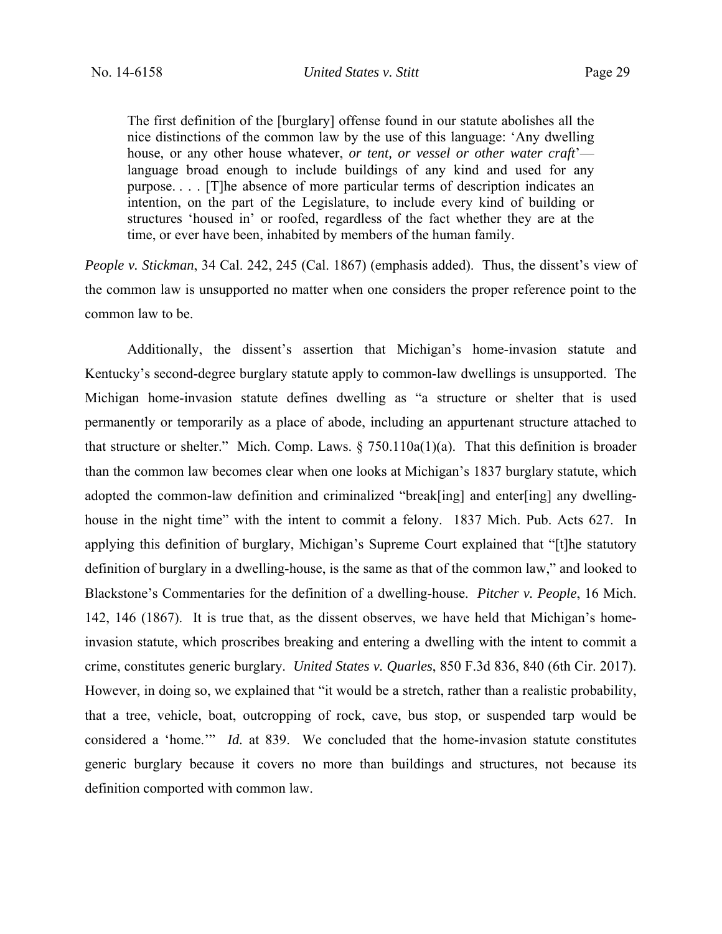The first definition of the [burglary] offense found in our statute abolishes all the nice distinctions of the common law by the use of this language: 'Any dwelling house, or any other house whatever, *or tent, or vessel or other water craft*' language broad enough to include buildings of any kind and used for any purpose. . . . [T]he absence of more particular terms of description indicates an intention, on the part of the Legislature, to include every kind of building or structures 'housed in' or roofed, regardless of the fact whether they are at the time, or ever have been, inhabited by members of the human family.

*People v. Stickman*, 34 Cal. 242, 245 (Cal. 1867) (emphasis added). Thus, the dissent's view of the common law is unsupported no matter when one considers the proper reference point to the common law to be.

Additionally, the dissent's assertion that Michigan's home-invasion statute and Kentucky's second-degree burglary statute apply to common-law dwellings is unsupported. The Michigan home-invasion statute defines dwelling as "a structure or shelter that is used permanently or temporarily as a place of abode, including an appurtenant structure attached to that structure or shelter." Mich. Comp. Laws.  $\S 750.110a(1)(a)$ . That this definition is broader than the common law becomes clear when one looks at Michigan's 1837 burglary statute, which adopted the common-law definition and criminalized "break[ing] and enter[ing] any dwellinghouse in the night time" with the intent to commit a felony. 1837 Mich. Pub. Acts 627.In applying this definition of burglary, Michigan's Supreme Court explained that "[t]he statutory definition of burglary in a dwelling-house, is the same as that of the common law," and looked to Blackstone's Commentaries for the definition of a dwelling-house. *Pitcher v. People*, 16 Mich. 142, 146 (1867). It is true that, as the dissent observes, we have held that Michigan's homeinvasion statute, which proscribes breaking and entering a dwelling with the intent to commit a crime, constitutes generic burglary. *United States v. Quarles*, 850 F.3d 836, 840 (6th Cir. 2017). However, in doing so, we explained that "it would be a stretch, rather than a realistic probability, that a tree, vehicle, boat, outcropping of rock, cave, bus stop, or suspended tarp would be considered a 'home.'" *Id.* at 839. We concluded that the home-invasion statute constitutes generic burglary because it covers no more than buildings and structures, not because its definition comported with common law.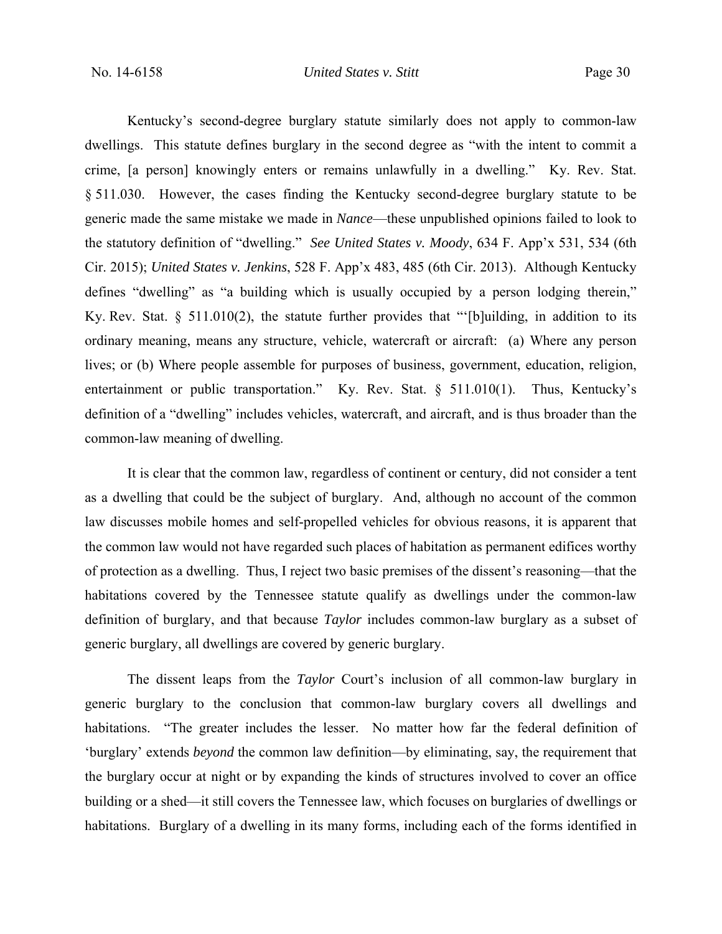Kentucky's second-degree burglary statute similarly does not apply to common-law dwellings. This statute defines burglary in the second degree as "with the intent to commit a crime, [a person] knowingly enters or remains unlawfully in a dwelling." Ky. Rev. Stat. § 511.030. However, the cases finding the Kentucky second-degree burglary statute to be generic made the same mistake we made in *Nance*—these unpublished opinions failed to look to the statutory definition of "dwelling." *See United States v. Moody*, 634 F. App'x 531, 534 (6th Cir. 2015); *United States v. Jenkins*, 528 F. App'x 483, 485 (6th Cir. 2013). Although Kentucky defines "dwelling" as "a building which is usually occupied by a person lodging therein," Ky. Rev. Stat. § 511.010(2), the statute further provides that "'[b]uilding, in addition to its ordinary meaning, means any structure, vehicle, watercraft or aircraft: (a) Where any person lives; or (b) Where people assemble for purposes of business, government, education, religion, entertainment or public transportation." Ky. Rev. Stat. § 511.010(1). Thus, Kentucky's definition of a "dwelling" includes vehicles, watercraft, and aircraft, and is thus broader than the common-law meaning of dwelling.

It is clear that the common law, regardless of continent or century, did not consider a tent as a dwelling that could be the subject of burglary. And, although no account of the common law discusses mobile homes and self-propelled vehicles for obvious reasons, it is apparent that the common law would not have regarded such places of habitation as permanent edifices worthy of protection as a dwelling. Thus, I reject two basic premises of the dissent's reasoning—that the habitations covered by the Tennessee statute qualify as dwellings under the common-law definition of burglary, and that because *Taylor* includes common-law burglary as a subset of generic burglary, all dwellings are covered by generic burglary.

The dissent leaps from the *Taylor* Court's inclusion of all common-law burglary in generic burglary to the conclusion that common-law burglary covers all dwellings and habitations. "The greater includes the lesser. No matter how far the federal definition of 'burglary' extends *beyond* the common law definition—by eliminating, say, the requirement that the burglary occur at night or by expanding the kinds of structures involved to cover an office building or a shed—it still covers the Tennessee law, which focuses on burglaries of dwellings or habitations. Burglary of a dwelling in its many forms, including each of the forms identified in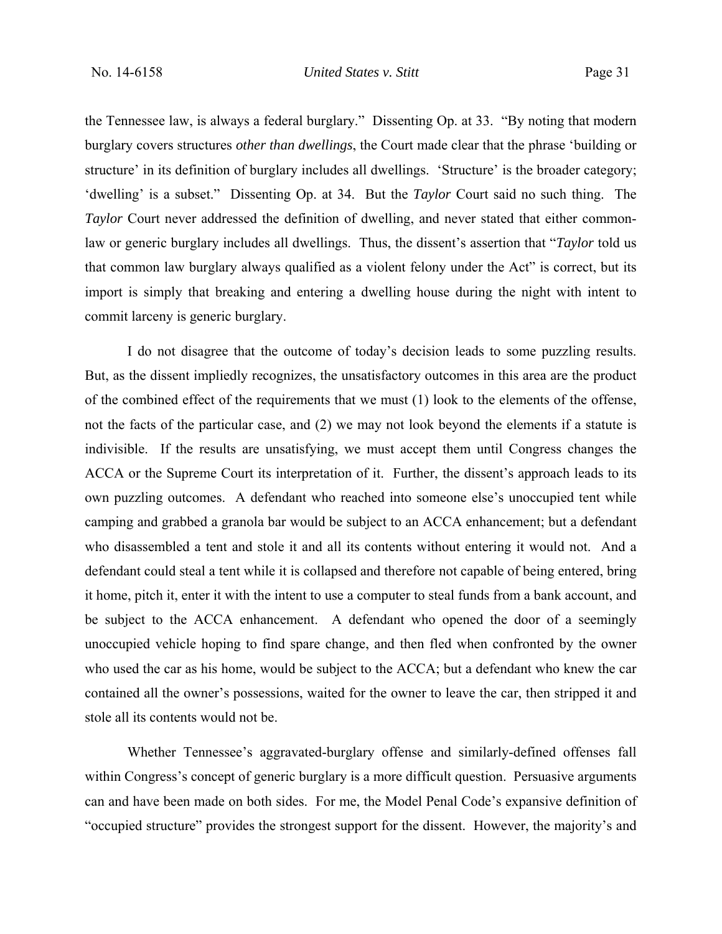the Tennessee law, is always a federal burglary." Dissenting Op. at 33. "By noting that modern burglary covers structures *other than dwellings*, the Court made clear that the phrase 'building or structure' in its definition of burglary includes all dwellings. 'Structure' is the broader category; 'dwelling' is a subset." Dissenting Op. at 34. But the *Taylor* Court said no such thing. The *Taylor* Court never addressed the definition of dwelling, and never stated that either commonlaw or generic burglary includes all dwellings. Thus, the dissent's assertion that "*Taylor* told us that common law burglary always qualified as a violent felony under the Act" is correct, but its import is simply that breaking and entering a dwelling house during the night with intent to commit larceny is generic burglary.

I do not disagree that the outcome of today's decision leads to some puzzling results. But, as the dissent impliedly recognizes, the unsatisfactory outcomes in this area are the product of the combined effect of the requirements that we must (1) look to the elements of the offense, not the facts of the particular case, and (2) we may not look beyond the elements if a statute is indivisible. If the results are unsatisfying, we must accept them until Congress changes the ACCA or the Supreme Court its interpretation of it. Further, the dissent's approach leads to its own puzzling outcomes. A defendant who reached into someone else's unoccupied tent while camping and grabbed a granola bar would be subject to an ACCA enhancement; but a defendant who disassembled a tent and stole it and all its contents without entering it would not. And a defendant could steal a tent while it is collapsed and therefore not capable of being entered, bring it home, pitch it, enter it with the intent to use a computer to steal funds from a bank account, and be subject to the ACCA enhancement. A defendant who opened the door of a seemingly unoccupied vehicle hoping to find spare change, and then fled when confronted by the owner who used the car as his home, would be subject to the ACCA; but a defendant who knew the car contained all the owner's possessions, waited for the owner to leave the car, then stripped it and stole all its contents would not be.

Whether Tennessee's aggravated-burglary offense and similarly-defined offenses fall within Congress's concept of generic burglary is a more difficult question. Persuasive arguments can and have been made on both sides. For me, the Model Penal Code's expansive definition of "occupied structure" provides the strongest support for the dissent. However, the majority's and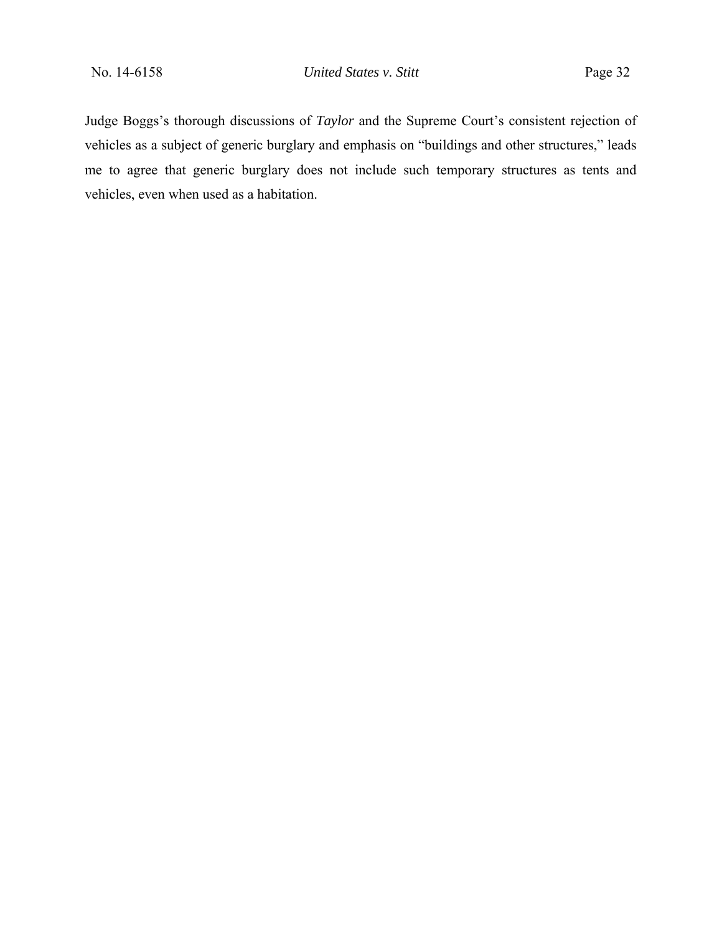Judge Boggs's thorough discussions of *Taylor* and the Supreme Court's consistent rejection of vehicles as a subject of generic burglary and emphasis on "buildings and other structures," leads me to agree that generic burglary does not include such temporary structures as tents and vehicles, even when used as a habitation.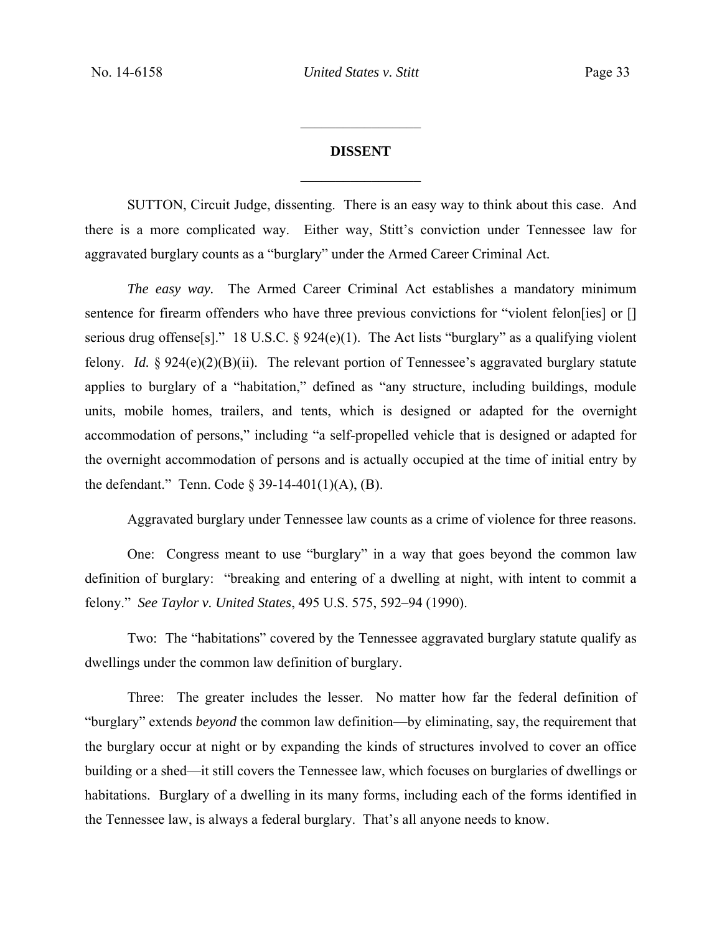# **DISSENT**   $\frac{1}{2}$

 $\frac{1}{2}$ 

SUTTON, Circuit Judge, dissenting. There is an easy way to think about this case. And there is a more complicated way. Either way, Stitt's conviction under Tennessee law for aggravated burglary counts as a "burglary" under the Armed Career Criminal Act.

*The easy way.* The Armed Career Criminal Act establishes a mandatory minimum sentence for firearm offenders who have three previous convictions for "violent felon[ies] or [] serious drug offense[s]." 18 U.S.C.  $\S$  924(e)(1). The Act lists "burglary" as a qualifying violent felony. *Id.* § 924(e)(2)(B)(ii). The relevant portion of Tennessee's aggravated burglary statute applies to burglary of a "habitation," defined as "any structure, including buildings, module units, mobile homes, trailers, and tents, which is designed or adapted for the overnight accommodation of persons," including "a self-propelled vehicle that is designed or adapted for the overnight accommodation of persons and is actually occupied at the time of initial entry by the defendant." Tenn. Code  $\S$  39-14-401(1)(A), (B).

Aggravated burglary under Tennessee law counts as a crime of violence for three reasons.

One: Congress meant to use "burglary" in a way that goes beyond the common law definition of burglary:"breaking and entering of a dwelling at night, with intent to commit a felony." *See Taylor v. United States*, 495 U.S. 575, 592–94 (1990).

Two: The "habitations" covered by the Tennessee aggravated burglary statute qualify as dwellings under the common law definition of burglary.

Three: The greater includes the lesser. No matter how far the federal definition of "burglary" extends *beyond* the common law definition—by eliminating, say, the requirement that the burglary occur at night or by expanding the kinds of structures involved to cover an office building or a shed—it still covers the Tennessee law, which focuses on burglaries of dwellings or habitations. Burglary of a dwelling in its many forms, including each of the forms identified in the Tennessee law, is always a federal burglary. That's all anyone needs to know.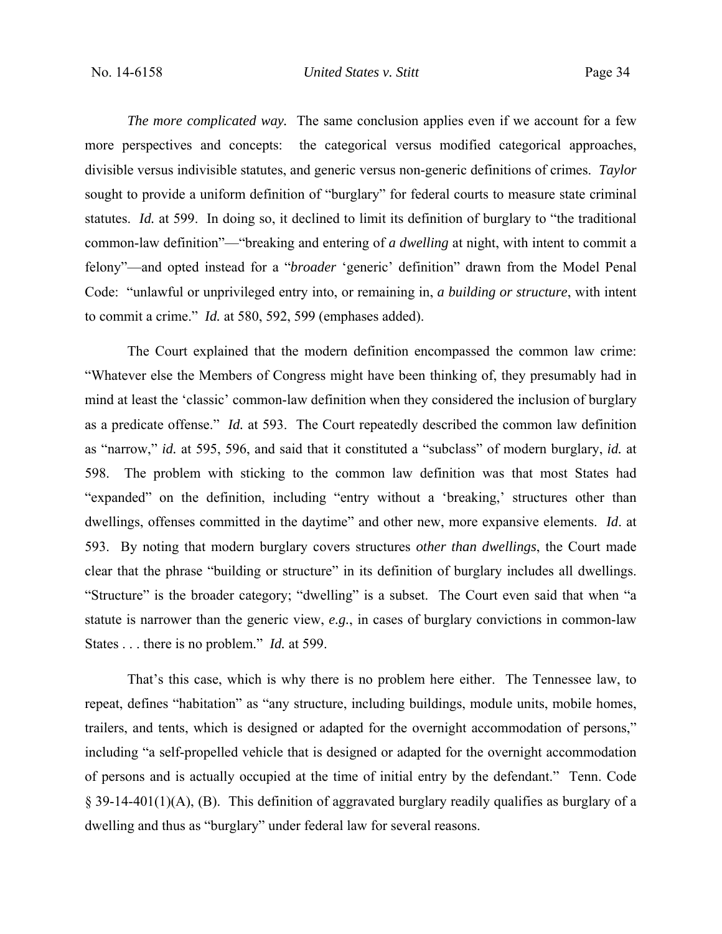*The more complicated way.* The same conclusion applies even if we account for a few more perspectives and concepts: the categorical versus modified categorical approaches, divisible versus indivisible statutes, and generic versus non-generic definitions of crimes. *Taylor*  sought to provide a uniform definition of "burglary" for federal courts to measure state criminal statutes. *Id.* at 599. In doing so, it declined to limit its definition of burglary to "the traditional common-law definition"—"breaking and entering of *a dwelling* at night, with intent to commit a felony"—and opted instead for a "*broader* 'generic' definition" drawn from the Model Penal Code: "unlawful or unprivileged entry into, or remaining in, *a building or structure*, with intent to commit a crime." *Id.* at 580, 592, 599 (emphases added).

The Court explained that the modern definition encompassed the common law crime: "Whatever else the Members of Congress might have been thinking of, they presumably had in mind at least the 'classic' common-law definition when they considered the inclusion of burglary as a predicate offense." *Id.* at 593. The Court repeatedly described the common law definition as "narrow," *id.* at 595, 596, and said that it constituted a "subclass" of modern burglary, *id.* at 598. The problem with sticking to the common law definition was that most States had "expanded" on the definition, including "entry without a 'breaking,' structures other than dwellings, offenses committed in the daytime" and other new, more expansive elements. *Id*. at 593. By noting that modern burglary covers structures *other than dwellings*, the Court made clear that the phrase "building or structure" in its definition of burglary includes all dwellings. "Structure" is the broader category; "dwelling" is a subset. The Court even said that when "a statute is narrower than the generic view, *e.g.*, in cases of burglary convictions in common-law States . . . there is no problem." *Id.* at 599.

That's this case, which is why there is no problem here either. The Tennessee law, to repeat, defines "habitation" as "any structure, including buildings, module units, mobile homes, trailers, and tents, which is designed or adapted for the overnight accommodation of persons," including "a self-propelled vehicle that is designed or adapted for the overnight accommodation of persons and is actually occupied at the time of initial entry by the defendant." Tenn. Code § 39-14-401(1)(A), (B). This definition of aggravated burglary readily qualifies as burglary of a dwelling and thus as "burglary" under federal law for several reasons.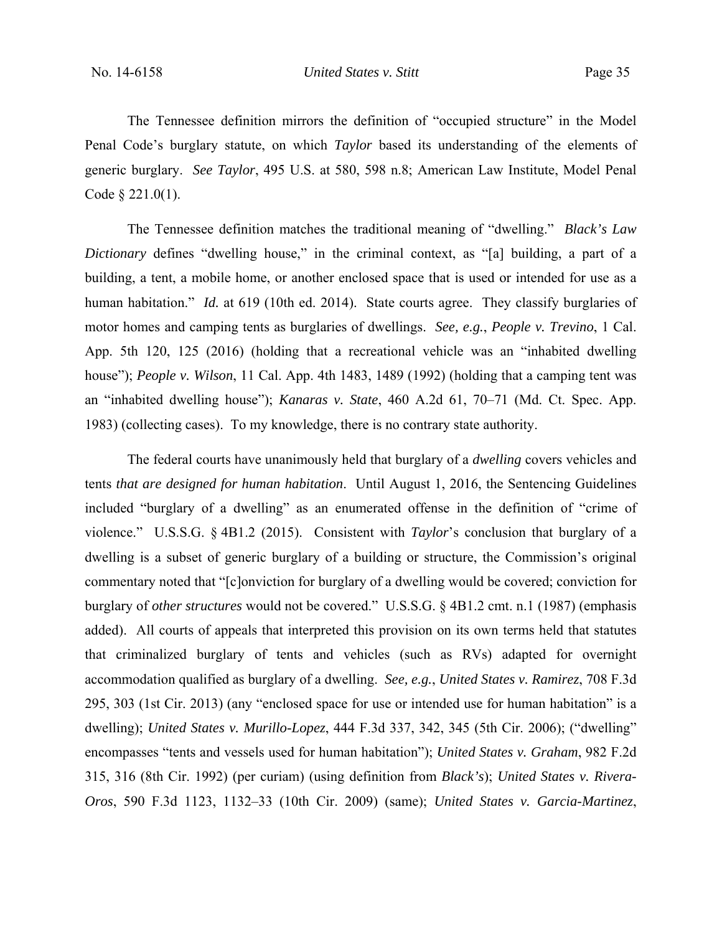The Tennessee definition mirrors the definition of "occupied structure" in the Model Penal Code's burglary statute, on which *Taylor* based its understanding of the elements of generic burglary. *See Taylor*, 495 U.S. at 580, 598 n.8; American Law Institute, Model Penal Code § 221.0(1).

The Tennessee definition matches the traditional meaning of "dwelling." *Black's Law Dictionary* defines "dwelling house," in the criminal context, as "[a] building, a part of a building, a tent, a mobile home, or another enclosed space that is used or intended for use as a human habitation." *Id.* at 619 (10th ed. 2014). State courts agree. They classify burglaries of motor homes and camping tents as burglaries of dwellings. *See, e.g.*, *People v. Trevino*, 1 Cal. App. 5th 120, 125 (2016) (holding that a recreational vehicle was an "inhabited dwelling house"); *People v. Wilson*, 11 Cal. App. 4th 1483, 1489 (1992) (holding that a camping tent was an "inhabited dwelling house"); *Kanaras v. State*, 460 A.2d 61, 70–71 (Md. Ct. Spec. App. 1983) (collecting cases). To my knowledge, there is no contrary state authority.

The federal courts have unanimously held that burglary of a *dwelling* covers vehicles and tents *that are designed for human habitation*. Until August 1, 2016, the Sentencing Guidelines included "burglary of a dwelling" as an enumerated offense in the definition of "crime of violence." U.S.S.G. § 4B1.2 (2015). Consistent with *Taylor*'s conclusion that burglary of a dwelling is a subset of generic burglary of a building or structure, the Commission's original commentary noted that "[c]onviction for burglary of a dwelling would be covered; conviction for burglary of *other structures* would not be covered." U.S.S.G. § 4B1.2 cmt. n.1 (1987) (emphasis added). All courts of appeals that interpreted this provision on its own terms held that statutes that criminalized burglary of tents and vehicles (such as RVs) adapted for overnight accommodation qualified as burglary of a dwelling. *See, e.g.*, *United States v. Ramirez*, 708 F.3d 295, 303 (1st Cir. 2013) (any "enclosed space for use or intended use for human habitation" is a dwelling); *United States v. Murillo-Lopez*, 444 F.3d 337, 342, 345 (5th Cir. 2006); ("dwelling" encompasses "tents and vessels used for human habitation"); *United States v. Graham*, 982 F.2d 315, 316 (8th Cir. 1992) (per curiam) (using definition from *Black's*); *United States v. Rivera-Oros*, 590 F.3d 1123, 1132–33 (10th Cir. 2009) (same); *United States v. Garcia-Martinez*,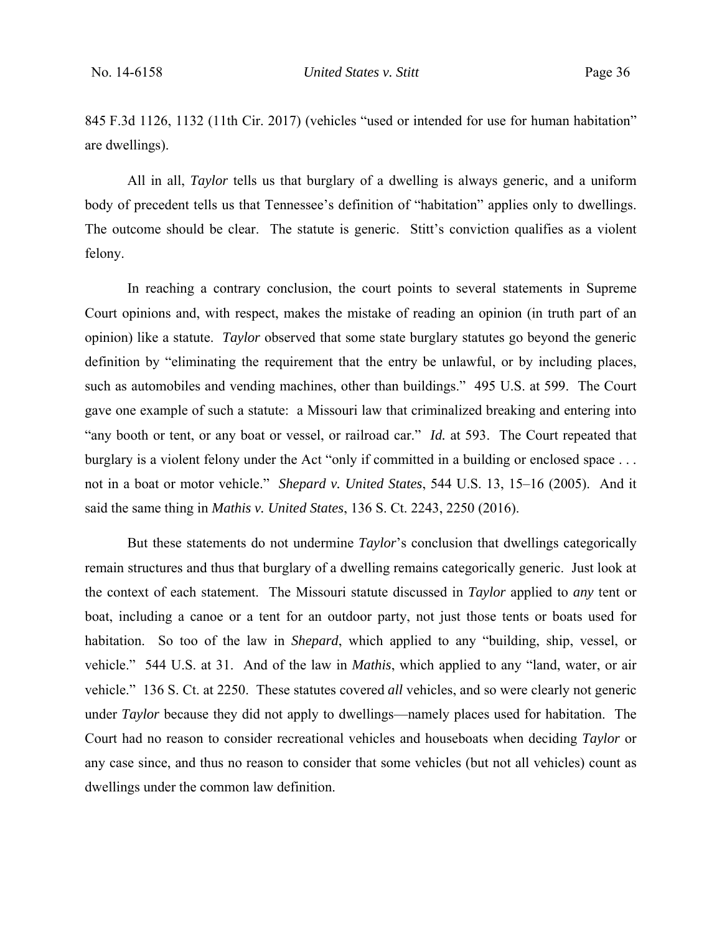845 F.3d 1126, 1132 (11th Cir. 2017) (vehicles "used or intended for use for human habitation" are dwellings).

All in all, *Taylor* tells us that burglary of a dwelling is always generic, and a uniform body of precedent tells us that Tennessee's definition of "habitation" applies only to dwellings. The outcome should be clear. The statute is generic. Stitt's conviction qualifies as a violent felony.

In reaching a contrary conclusion, the court points to several statements in Supreme Court opinions and, with respect, makes the mistake of reading an opinion (in truth part of an opinion) like a statute. *Taylor* observed that some state burglary statutes go beyond the generic definition by "eliminating the requirement that the entry be unlawful, or by including places, such as automobiles and vending machines, other than buildings." 495 U.S. at 599. The Court gave one example of such a statute: a Missouri law that criminalized breaking and entering into "any booth or tent, or any boat or vessel, or railroad car." *Id.* at 593. The Court repeated that burglary is a violent felony under the Act "only if committed in a building or enclosed space ... not in a boat or motor vehicle." *Shepard v. United States*, 544 U.S. 13, 15–16 (2005). And it said the same thing in *Mathis v. United States*, 136 S. Ct. 2243, 2250 (2016).

But these statements do not undermine *Taylor*'s conclusion that dwellings categorically remain structures and thus that burglary of a dwelling remains categorically generic. Just look at the context of each statement. The Missouri statute discussed in *Taylor* applied to *any* tent or boat, including a canoe or a tent for an outdoor party, not just those tents or boats used for habitation. So too of the law in *Shepard*, which applied to any "building, ship, vessel, or vehicle." 544 U.S. at 31. And of the law in *Mathis*, which applied to any "land, water, or air vehicle." 136 S. Ct. at 2250. These statutes covered *all* vehicles, and so were clearly not generic under *Taylor* because they did not apply to dwellings—namely places used for habitation. The Court had no reason to consider recreational vehicles and houseboats when deciding *Taylor* or any case since, and thus no reason to consider that some vehicles (but not all vehicles) count as dwellings under the common law definition.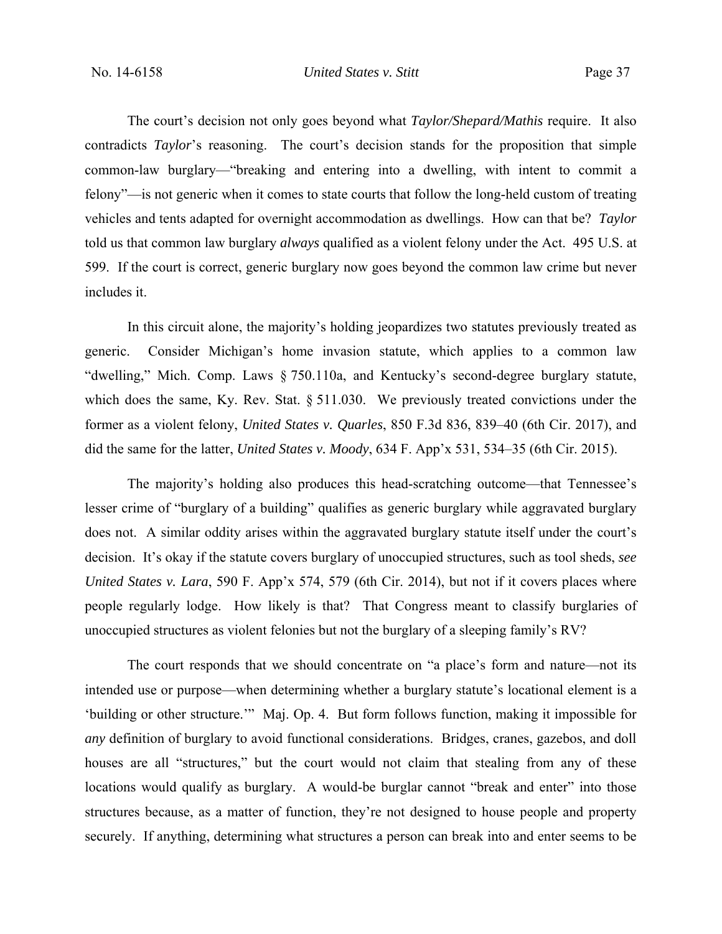The court's decision not only goes beyond what *Taylor/Shepard/Mathis* require. It also contradicts *Taylor*'s reasoning. The court's decision stands for the proposition that simple common-law burglary—"breaking and entering into a dwelling, with intent to commit a felony"—is not generic when it comes to state courts that follow the long-held custom of treating vehicles and tents adapted for overnight accommodation as dwellings. How can that be? *Taylor*  told us that common law burglary *always* qualified as a violent felony under the Act. 495 U.S. at 599. If the court is correct, generic burglary now goes beyond the common law crime but never includes it.

In this circuit alone, the majority's holding jeopardizes two statutes previously treated as generic. Consider Michigan's home invasion statute, which applies to a common law "dwelling," Mich. Comp. Laws § 750.110a, and Kentucky's second-degree burglary statute, which does the same, Ky. Rev. Stat. § 511.030. We previously treated convictions under the former as a violent felony, *United States v. Quarles*, 850 F.3d 836, 839–40 (6th Cir. 2017), and did the same for the latter, *United States v. Moody*, 634 F. App'x 531, 534–35 (6th Cir. 2015).

The majority's holding also produces this head-scratching outcome—that Tennessee's lesser crime of "burglary of a building" qualifies as generic burglary while aggravated burglary does not. A similar oddity arises within the aggravated burglary statute itself under the court's decision. It's okay if the statute covers burglary of unoccupied structures, such as tool sheds, *see United States v. Lara*, 590 F. App'x 574, 579 (6th Cir. 2014), but not if it covers places where people regularly lodge. How likely is that? That Congress meant to classify burglaries of unoccupied structures as violent felonies but not the burglary of a sleeping family's RV?

The court responds that we should concentrate on "a place's form and nature—not its intended use or purpose—when determining whether a burglary statute's locational element is a 'building or other structure.'" Maj. Op. 4. But form follows function, making it impossible for *any* definition of burglary to avoid functional considerations. Bridges, cranes, gazebos, and doll houses are all "structures," but the court would not claim that stealing from any of these locations would qualify as burglary. A would-be burglar cannot "break and enter" into those structures because, as a matter of function, they're not designed to house people and property securely. If anything, determining what structures a person can break into and enter seems to be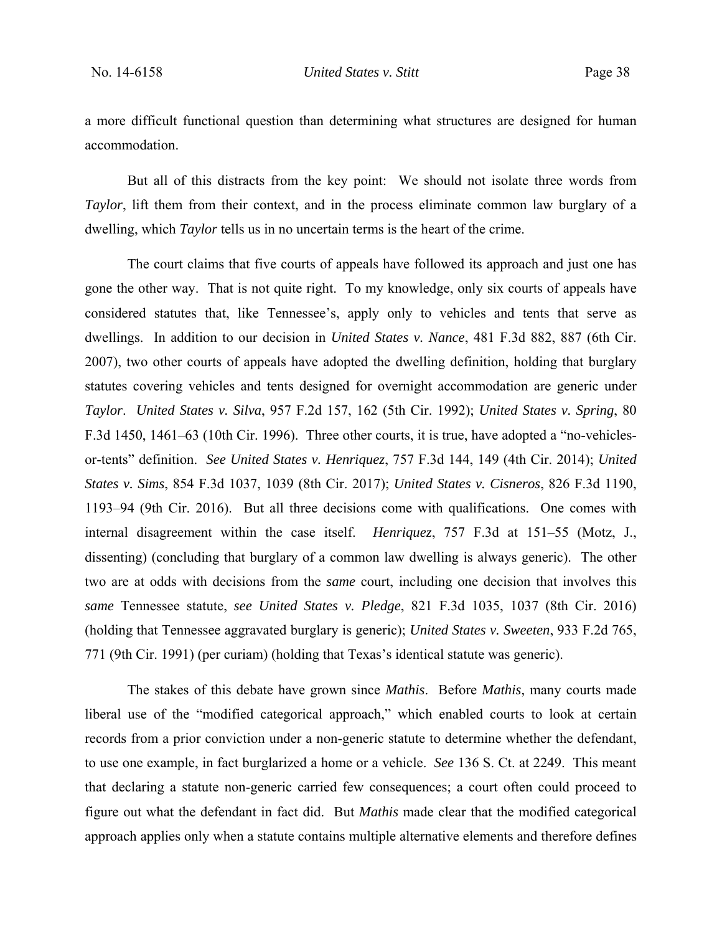a more difficult functional question than determining what structures are designed for human accommodation.

But all of this distracts from the key point: We should not isolate three words from *Taylor*, lift them from their context, and in the process eliminate common law burglary of a dwelling, which *Taylor* tells us in no uncertain terms is the heart of the crime.

The court claims that five courts of appeals have followed its approach and just one has gone the other way. That is not quite right. To my knowledge, only six courts of appeals have considered statutes that, like Tennessee's, apply only to vehicles and tents that serve as dwellings. In addition to our decision in *United States v. Nance*, 481 F.3d 882, 887 (6th Cir. 2007), two other courts of appeals have adopted the dwelling definition, holding that burglary statutes covering vehicles and tents designed for overnight accommodation are generic under *Taylor*. *United States v. Silva*, 957 F.2d 157, 162 (5th Cir. 1992); *United States v. Spring*, 80 F.3d 1450, 1461–63 (10th Cir. 1996). Three other courts, it is true, have adopted a "no-vehiclesor-tents" definition. *See United States v. Henriquez*, 757 F.3d 144, 149 (4th Cir. 2014); *United States v. Sims*, 854 F.3d 1037, 1039 (8th Cir. 2017); *United States v. Cisneros*, 826 F.3d 1190, 1193–94 (9th Cir. 2016). But all three decisions come with qualifications. One comes with internal disagreement within the case itself. *Henriquez*, 757 F.3d at 151–55 (Motz, J., dissenting) (concluding that burglary of a common law dwelling is always generic). The other two are at odds with decisions from the *same* court, including one decision that involves this *same* Tennessee statute, *see United States v. Pledge*, 821 F.3d 1035, 1037 (8th Cir. 2016) (holding that Tennessee aggravated burglary is generic); *United States v. Sweeten*, 933 F.2d 765, 771 (9th Cir. 1991) (per curiam) (holding that Texas's identical statute was generic).

The stakes of this debate have grown since *Mathis*. Before *Mathis*, many courts made liberal use of the "modified categorical approach," which enabled courts to look at certain records from a prior conviction under a non-generic statute to determine whether the defendant, to use one example, in fact burglarized a home or a vehicle. *See* 136 S. Ct. at 2249. This meant that declaring a statute non-generic carried few consequences; a court often could proceed to figure out what the defendant in fact did. But *Mathis* made clear that the modified categorical approach applies only when a statute contains multiple alternative elements and therefore defines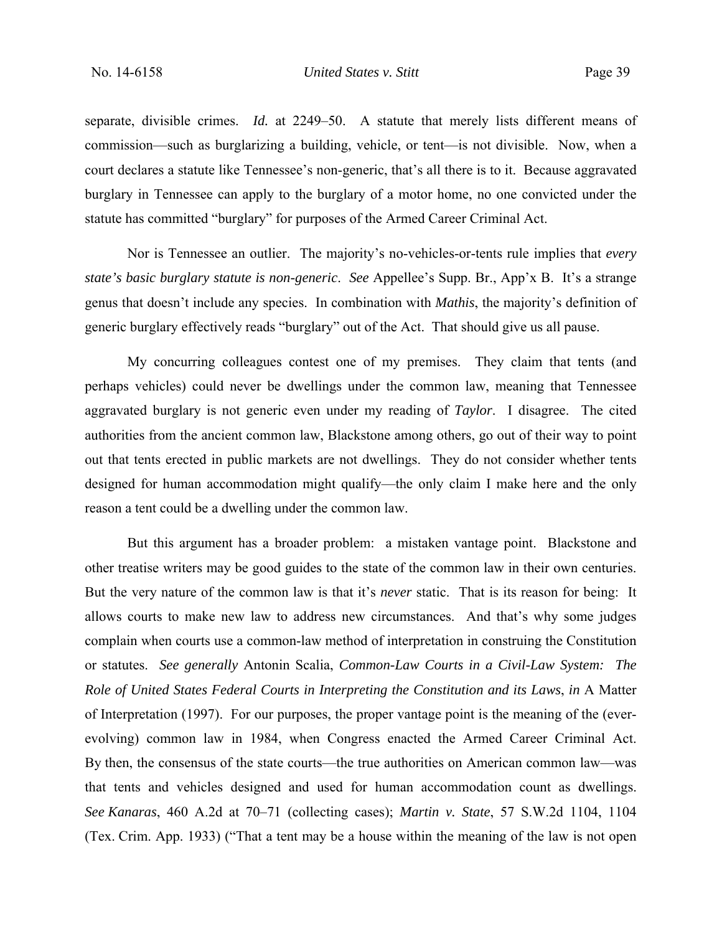separate, divisible crimes. *Id.* at 2249–50. A statute that merely lists different means of commission—such as burglarizing a building, vehicle, or tent—is not divisible. Now, when a court declares a statute like Tennessee's non-generic, that's all there is to it. Because aggravated burglary in Tennessee can apply to the burglary of a motor home, no one convicted under the statute has committed "burglary" for purposes of the Armed Career Criminal Act.

Nor is Tennessee an outlier. The majority's no-vehicles-or-tents rule implies that *every state's basic burglary statute is non-generic*. *See* Appellee's Supp. Br., App'x B. It's a strange genus that doesn't include any species.In combination with *Mathis*, the majority's definition of generic burglary effectively reads "burglary" out of the Act. That should give us all pause.

My concurring colleagues contest one of my premises. They claim that tents (and perhaps vehicles) could never be dwellings under the common law, meaning that Tennessee aggravated burglary is not generic even under my reading of *Taylor*. I disagree. The cited authorities from the ancient common law, Blackstone among others, go out of their way to point out that tents erected in public markets are not dwellings. They do not consider whether tents designed for human accommodation might qualify—the only claim I make here and the only reason a tent could be a dwelling under the common law.

But this argument has a broader problem: a mistaken vantage point. Blackstone and other treatise writers may be good guides to the state of the common law in their own centuries. But the very nature of the common law is that it's *never* static. That is its reason for being: It allows courts to make new law to address new circumstances. And that's why some judges complain when courts use a common-law method of interpretation in construing the Constitution or statutes. *See generally* Antonin Scalia, *Common-Law Courts in a Civil-Law System: The Role of United States Federal Courts in Interpreting the Constitution and its Laws*, *in* A Matter of Interpretation (1997). For our purposes, the proper vantage point is the meaning of the (everevolving) common law in 1984, when Congress enacted the Armed Career Criminal Act. By then, the consensus of the state courts—the true authorities on American common law—was that tents and vehicles designed and used for human accommodation count as dwellings. *See Kanaras*, 460 A.2d at 70–71 (collecting cases); *Martin v. State*, 57 S.W.2d 1104, 1104 (Tex. Crim. App. 1933) ("That a tent may be a house within the meaning of the law is not open